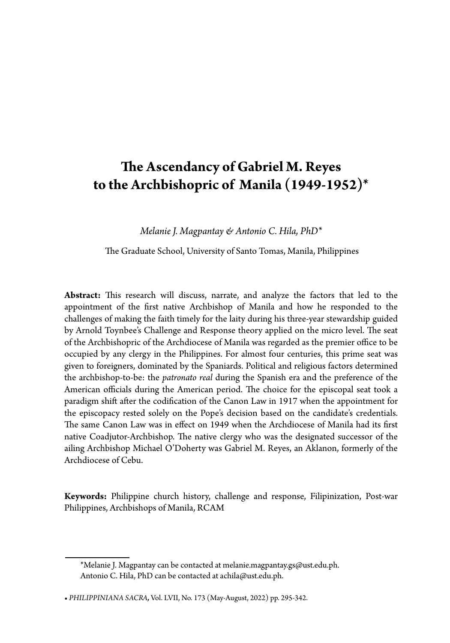# **The Ascendancy of Gabriel M. Reyes to the Archbishopric of Manila (1949-1952)\***

*Melanie J. Magpantay & Antonio C. Hila, PhD\**

The Graduate School, University of Santo Tomas, Manila, Philippines

**Abstract:** This research will discuss, narrate, and analyze the factors that led to the appointment of the first native Archbishop of Manila and how he responded to the challenges of making the faith timely for the laity during his three-year stewardship guided by Arnold Toynbee's Challenge and Response theory applied on the micro level. The seat of the Archbishopric of the Archdiocese of Manila was regarded as the premier office to be occupied by any clergy in the Philippines. For almost four centuries, this prime seat was given to foreigners, dominated by the Spaniards. Political and religious factors determined the archbishop-to-be: the *patronato real* during the Spanish era and the preference of the American officials during the American period. The choice for the episcopal seat took a paradigm shift after the codification of the Canon Law in 1917 when the appointment for the episcopacy rested solely on the Pope's decision based on the candidate's credentials. The same Canon Law was in effect on 1949 when the Archdiocese of Manila had its first native Coadjutor-Archbishop. The native clergy who was the designated successor of the ailing Archbishop Michael O'Doherty was Gabriel M. Reyes, an Aklanon, formerly of the Archdiocese of Cebu.

**Keywords:** Philippine church history, challenge and response, Filipinization, Post-war Philippines, Archbishops of Manila, RCAM

<sup>\*</sup>Melanie J. Magpantay can be contacted at melanie.magpantay.gs@ust.edu.ph. Antonio C. Hila, PhD can be contacted at achila@ust.edu.ph.

**<sup>•</sup>** *PHILIPPINIANA SACRA,* Vol. LVII, No. 173 (May-August, 2022) pp. 295-342.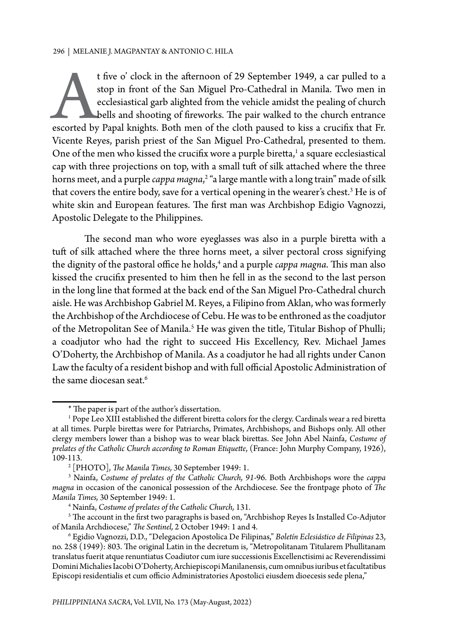t five o' clock in the afternoon of 29 September 1949, a car pulled to a<br>stop in front of the San Miguel Pro-Cathedral in Manila. Two men in<br>ecclesiastical garb alighted from the vehicle amidst the pealing of church<br>bells stop in front of the San Miguel Pro-Cathedral in Manila. Two men in ecclesiastical garb alighted from the vehicle amidst the pealing of church bells and shooting of fireworks. The pair walked to the church entrance escorted by Papal knights. Both men of the cloth paused to kiss a crucifix that Fr. Vicente Reyes, parish priest of the San Miguel Pro-Cathedral, presented to them. One of the men who kissed the crucifix wore a purple biretta,<sup>1</sup> a square ecclesiastical cap with three projections on top, with a small tuft of silk attached where the three horns meet, and a purple *cappa magna*, 2 "a large mantle with a long train" made of silk that covers the entire body, save for a vertical opening in the wearer's chest.<sup>3</sup> He is of white skin and European features. The first man was Archbishop Edigio Vagnozzi, Apostolic Delegate to the Philippines.

The second man who wore eyeglasses was also in a purple biretta with a tuft of silk attached where the three horns meet, a silver pectoral cross signifying the dignity of the pastoral office he holds,<sup>4</sup> and a purple *cappa magna*. This man also kissed the crucifix presented to him then he fell in as the second to the last person in the long line that formed at the back end of the San Miguel Pro-Cathedral church aisle. He was Archbishop Gabriel M. Reyes, a Filipino from Aklan, who was formerly the Archbishop of the Archdiocese of Cebu. He was to be enthroned as the coadjutor of the Metropolitan See of Manila.<sup>5</sup> He was given the title, Titular Bishop of Phulli; a coadjutor who had the right to succeed His Excellency, Rev. Michael James O'Doherty, the Archbishop of Manila. As a coadjutor he had all rights under Canon Law the faculty of a resident bishop and with full official Apostolic Administration of the same diocesan seat.<sup>6</sup>

<sup>\*</sup> The paper is part of the author's dissertation.

<sup>&</sup>lt;sup>1</sup> Pope Leo XIII established the different biretta colors for the clergy. Cardinals wear a red biretta at all times. Purple birettas were for Patriarchs, Primates, Archbishops, and Bishops only. All other clergy members lower than a bishop was to wear black birettas. See John Abel Nainfa, *Costume of prelates of the Catholic Church according to Roman Etiquette*, (France: John Murphy Company, 1926), 109-113. 2

 <sup>[</sup>PHOTO], *The Manila Times,* 30 September 1949: 1.

<sup>3</sup> Nainfa, *Costume of prelates of the Catholic Church, 91-*96. Both Archbishops wore the *cappa magna* in occasion of the canonical possession of the Archdiocese. See the frontpage photo of *The Manila Times,* 30 September 1949: 1.

<sup>4</sup> Nainfa, *Costume of prelates of the Catholic Church,* 131.

 $^{\rm 5}$  The account in the first two paragraphs is based on, "Archbishop Reyes Is Installed Co-Adjutor of Manila Archdiocese," *The Sentinel,* 2 October 1949: 1 and 4. 6

Egidio Vagnozzi, D.D., "Delegacion Apostolica De Filipinas," *Boletín Eclesiástico de Filipinas* 23, no. 258 (1949): 803. The original Latin in the decretum is, "Metropolitanam Titularem Phullitanam translatus fuerit atque renuntiatus Coadiutor cum iure successionis Excellenctisimi ac Reverendissimi Domini Michalies Iacobi O'Doherty, Archiepiscopi Manilanensis, cum omnibus iuribus et facultatibus Episcopi residentialis et cum officio Administratories Apostolici eiusdem dioecesis sede plena,"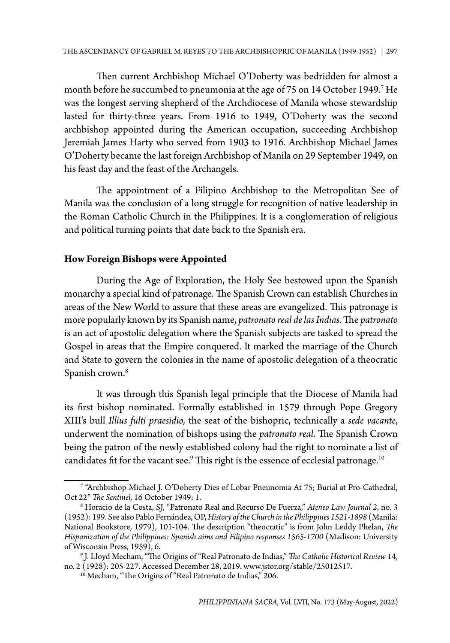Then current Archbishop Michael O'Doherty was bedridden for almost a month before he succumbed to pneumonia at the age of 75 on 14 October 1949.7 He was the longest serving shepherd of the Archdiocese of Manila whose stewardship lasted for thirty-three years. From 1916 to 1949, O'Doherty was the second archbishop appointed during the American occupation, succeeding Archbishop Jeremiah James Harty who served from 1903 to 1916. Archbishop Michael James O'Doherty became the last foreign Archbishop of Manila on 29 September 1949, on his feast day and the feast of the Archangels.

The appointment of a Filipino Archbishop to the Metropolitan See of Manila was the conclusion of a long struggle for recognition of native leadership in the Roman Catholic Church in the Philippines. It is a conglomeration of religious and political turning points that date back to the Spanish era.

## **How Foreign Bishops were Appointed**

During the Age of Exploration, the Holy See bestowed upon the Spanish monarchy a special kind of patronage. The Spanish Crown can establish Churches in areas of the New World to assure that these areas are evangelized. This patronage is more popularly known by its Spanish name, *patronato real de las Indias.* The *patronato* is an act of apostolic delegation where the Spanish subjects are tasked to spread the Gospel in areas that the Empire conquered. It marked the marriage of the Church and State to govern the colonies in the name of apostolic delegation of a theocratic Spanish crown.<sup>8</sup>

It was through this Spanish legal principle that the Diocese of Manila had its first bishop nominated. Formally established in 1579 through Pope Gregory XIII's bull *Illius fulti praesidio,* the seat of the bishopric, technically a *sede vacante*, underwent the nomination of bishops using the *patronato real*. The Spanish Crown being the patron of the newly established colony had the right to nominate a list of candidates fit for the vacant see. $^9$  This right is the essence of ecclesial patronage. $^{10}$ 

<sup>7</sup> "Archbishop Michael J. O'Doherty Dies of Lobar Pneunomia At 75; Burial at Pro-Cathedral, Oct 22" *The Sentinel,* 16 October 1949: 1.

<sup>8</sup> Horacio de la Costa, SJ, "Patronato Real and Recurso De Fuerza," *Ateneo Law Journal 2*, no. 3 (1952): 199. See also Pablo Fernández, OP, *History of the Church in the Philippines 1521-1898* (Manila: National Bookstore, 1979), 101-104. The description "theocratic" is from John Leddy Phelan, *The Hispanization of the Philippines: Spanish aims and Filipino responses 1565-1700* (Madison: University of Wisconsin Press, 1959), 6.

<sup>9</sup> J. Lloyd Mecham, "The Origins of "Real Patronato de Indias," *The Catholic Historical Review* 14, no. 2 (1928): 205-227. Accessed December 28, 2019. www.jstor.org/stable/25012517.

<sup>&</sup>lt;sup>10</sup> Mecham, "The Origins of "Real Patronato de Indias," 206.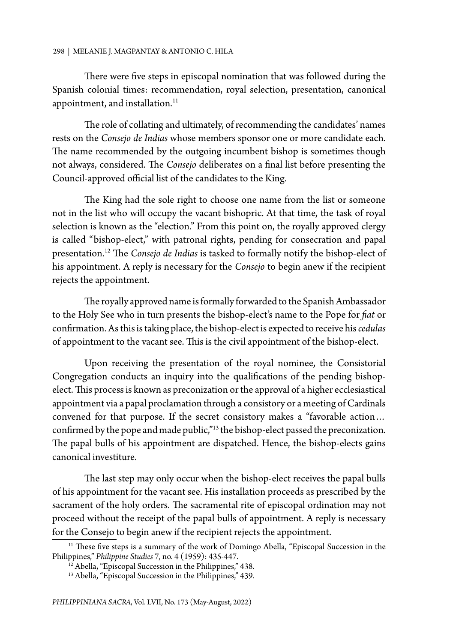There were five steps in episcopal nomination that was followed during the Spanish colonial times: recommendation, royal selection, presentation, canonical appointment, and installation.<sup>11</sup>

The role of collating and ultimately, of recommending the candidates' names rests on the *Consejo de Indias* whose members sponsor one or more candidate each. The name recommended by the outgoing incumbent bishop is sometimes though not always, considered. The *Consejo* deliberates on a final list before presenting the Council-approved official list of the candidates to the King.

The King had the sole right to choose one name from the list or someone not in the list who will occupy the vacant bishopric. At that time, the task of royal selection is known as the "election." From this point on, the royally approved clergy is called "bishop-elect," with patronal rights, pending for consecration and papal presentation.12 The *Consejo de Indias* is tasked to formally notify the bishop-elect of his appointment. A reply is necessary for the *Consejo* to begin anew if the recipient rejects the appointment.

The royally approved name is formally forwarded to the Spanish Ambassador to the Holy See who in turn presents the bishop-elect's name to the Pope for *fiat* or confirmation. As this is taking place, the bishop-elect is expected to receive his *cedulas* of appointment to the vacant see. This is the civil appointment of the bishop-elect.

Upon receiving the presentation of the royal nominee, the Consistorial Congregation conducts an inquiry into the qualifications of the pending bishopelect. This process is known as preconization or the approval of a higher ecclesiastical appointment via a papal proclamation through a consistory or a meeting of Cardinals convened for that purpose. If the secret consistory makes a "favorable action… confirmed by the pope and made public,"13 the bishop-elect passed the preconization. The papal bulls of his appointment are dispatched. Hence, the bishop-elects gains canonical investiture.

The last step may only occur when the bishop-elect receives the papal bulls of his appointment for the vacant see. His installation proceeds as prescribed by the sacrament of the holy orders. The sacramental rite of episcopal ordination may not proceed without the receipt of the papal bulls of appointment. A reply is necessary for the Consejo to begin anew if the recipient rejects the appointment.

<sup>&</sup>lt;sup>11</sup> These five steps is a summary of the work of Domingo Abella, "Episcopal Succession in the Philippines," *Philippine Studies* 7, no. 4 (1959): 435-447.

<sup>&</sup>lt;sup>12</sup> Abella, "Episcopal Succession in the Philippines," 438.

<sup>13</sup> Abella, "Episcopal Succession in the Philippines," 439.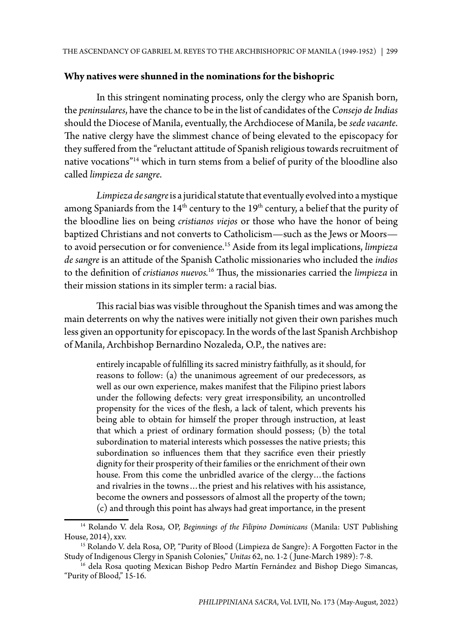## **Why natives were shunned in the nominations for the bishopric**

In this stringent nominating process, only the clergy who are Spanish born, the *peninsulares*, have the chance to be in the list of candidates of the *Consejo de Indias* should the Diocese of Manila, eventually, the Archdiocese of Manila, be *sede vacante*. The native clergy have the slimmest chance of being elevated to the episcopacy for they suffered from the "reluctant attitude of Spanish religious towards recruitment of native vocations"14 which in turn stems from a belief of purity of the bloodline also called *limpieza de sangre*.

*Limpieza de sangre* is a juridical statute that eventually evolved into a mystique among Spaniards from the  $14<sup>th</sup>$  century to the  $19<sup>th</sup>$  century, a belief that the purity of the bloodline lies on being *cristianos viejos* or those who have the honor of being baptized Christians and not converts to Catholicism—such as the Jews or Moors to avoid persecution or for convenience.15 Aside from its legal implications, *limpieza de sangre* is an attitude of the Spanish Catholic missionaries who included the *indios* to the definition of *cristianos nuevos.*16 Thus, the missionaries carried the *limpieza* in their mission stations in its simpler term: a racial bias.

This racial bias was visible throughout the Spanish times and was among the main deterrents on why the natives were initially not given their own parishes much less given an opportunity for episcopacy. In the words of the last Spanish Archbishop of Manila, Archbishop Bernardino Nozaleda, O.P., the natives are:

entirely incapable of fulfilling its sacred ministry faithfully, as it should, for reasons to follow: (a) the unanimous agreement of our predecessors, as well as our own experience, makes manifest that the Filipino priest labors under the following defects: very great irresponsibility, an uncontrolled propensity for the vices of the flesh, a lack of talent, which prevents his being able to obtain for himself the proper through instruction, at least that which a priest of ordinary formation should possess; (b) the total subordination to material interests which possesses the native priests; this subordination so influences them that they sacrifice even their priestly dignity for their prosperity of their families or the enrichment of their own house. From this come the unbridled avarice of the clergy... the factions and rivalries in the towns…the priest and his relatives with his assistance, become the owners and possessors of almost all the property of the town; (c) and through this point has always had great importance, in the present

<sup>14</sup> Rolando V. dela Rosa, OP, *Beginnings of the Filipino Dominicans* (Manila: UST Publishing House, 2014), xxv.<br><sup>15</sup> Rolando V. dela Rosa, OP, "Purity of Blood (Limpieza de Sangre): A Forgotten Factor in the

Study of Indigenous Clergy in Spanish Colonies," *Unitas* 62, no. 1-2 ( June-March 1989): 7-8.

<sup>&</sup>lt;sup>16</sup> dela Rosa quoting Mexican Bishop Pedro Martín Fernández and Bishop Diego Simancas, "Purity of Blood," 15-16.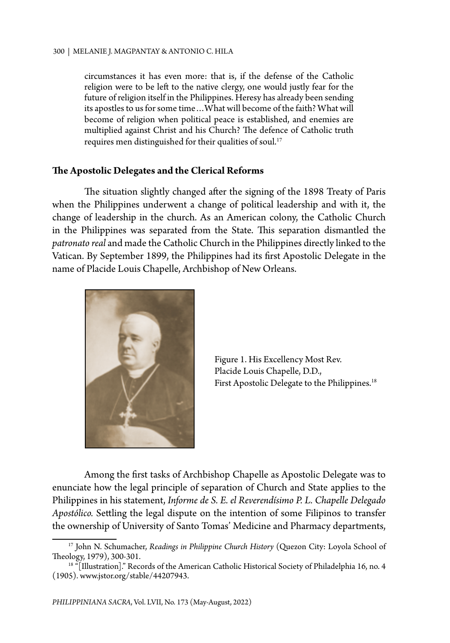circumstances it has even more: that is, if the defense of the Catholic religion were to be left to the native clergy, one would justly fear for the future of religion itself in the Philippines. Heresy has already been sending its apostles to us for some time…What will become of the faith? What will become of religion when political peace is established, and enemies are multiplied against Christ and his Church? The defence of Catholic truth requires men distinguished for their qualities of soul.<sup>17</sup>

## **The Apostolic Delegates and the Clerical Reforms**

The situation slightly changed after the signing of the 1898 Treaty of Paris when the Philippines underwent a change of political leadership and with it, the change of leadership in the church. As an American colony, the Catholic Church in the Philippines was separated from the State. This separation dismantled the *patronato real* and made the Catholic Church in the Philippines directly linked to the Vatican. By September 1899, the Philippines had its first Apostolic Delegate in the name of Placide Louis Chapelle, Archbishop of New Orleans.



Figure 1. His Excellency Most Rev. Placide Louis Chapelle, D.D., First Apostolic Delegate to the Philippines.<sup>18</sup>

Among the first tasks of Archbishop Chapelle as Apostolic Delegate was to enunciate how the legal principle of separation of Church and State applies to the Philippines in his statement, *Informe de S. E. el Reverendísimo P. L. Chapelle Delegado Apostólico.* Settling the legal dispute on the intention of some Filipinos to transfer the ownership of University of Santo Tomas' Medicine and Pharmacy departments,

<sup>&</sup>lt;sup>17</sup> John N. Schumacher, *Readings in Philippine Church History* (Quezon City: Loyola School of Theology, 1979), 300-301.

<sup>&</sup>lt;sup>18</sup> "[Illustration]." Records of the American Catholic Historical Society of Philadelphia 16, no. 4 (1905). www.jstor.org/stable/44207943.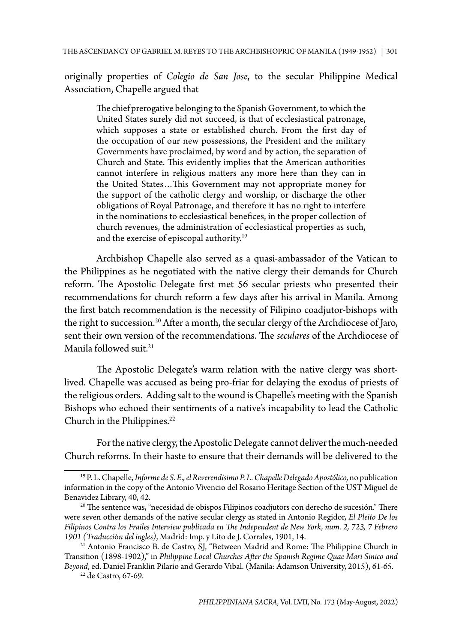originally properties of *Colegio de San Jose*, to the secular Philippine Medical Association, Chapelle argued that

The chief prerogative belonging to the Spanish Government, to which the United States surely did not succeed, is that of ecclesiastical patronage, which supposes a state or established church. From the first day of the occupation of our new possessions, the President and the military Governments have proclaimed, by word and by action, the separation of Church and State. This evidently implies that the American authorities cannot interfere in religious matters any more here than they can in the United States…This Government may not appropriate money for the support of the catholic clergy and worship, or discharge the other obligations of Royal Patronage, and therefore it has no right to interfere in the nominations to ecclesiastical benefices, in the proper collection of church revenues, the administration of ecclesiastical properties as such, and the exercise of episcopal authority.19

Archbishop Chapelle also served as a quasi-ambassador of the Vatican to the Philippines as he negotiated with the native clergy their demands for Church reform. The Apostolic Delegate first met 56 secular priests who presented their recommendations for church reform a few days after his arrival in Manila. Among the first batch recommendation is the necessity of Filipino coadjutor-bishops with the right to succession.<sup>20</sup> After a month, the secular clergy of the Archdiocese of Jaro, sent their own version of the recommendations. The *seculares* of the Archdiocese of Manila followed suit.<sup>21</sup>

The Apostolic Delegate's warm relation with the native clergy was shortlived. Chapelle was accused as being pro-friar for delaying the exodus of priests of the religious orders. Adding salt to the wound is Chapelle's meeting with the Spanish Bishops who echoed their sentiments of a native's incapability to lead the Catholic Church in the Philippines.<sup>22</sup>

For the native clergy, the Apostolic Delegate cannot deliver the much-needed Church reforms. In their haste to ensure that their demands will be delivered to the

22 de Castro, 67-69.

<sup>19</sup> P. L. Chapelle,*Informe de S. E., el Reverendísimo P. L. Chapelle Delegado Apostólico,* no publication information in the copy of the Antonio Vivencio del Rosario Heritage Section of the UST Miguel de Benavidez Library, 40, 42.

<sup>&</sup>lt;sup>20</sup> The sentence was, "necesidad de obispos Filipinos coadjutors con derecho de sucesión." There were seven other demands of the native secular clergy as stated in Antonio Regidor, *El Pleito De los Filipinos Contra los Frailes Interview publicada en The Independent de New York, num. 2, 723, 7 Febrero 1901 (Traducci*ó*n del ingles)*, Madrid: Imp. y Lito de J. Corrales, 1901, 14.

 $21$  Antonio Francisco B. de Castro, SJ, "Between Madrid and Rome: The Philippine Church in Transition (1898-1902)," in *Philippine Local Churches After the Spanish Regime Quae Mari Sinico and Beyond*, ed. Daniel Franklin Pilario and Gerardo Vibal. (Manila: Adamson University, 2015), 61-65.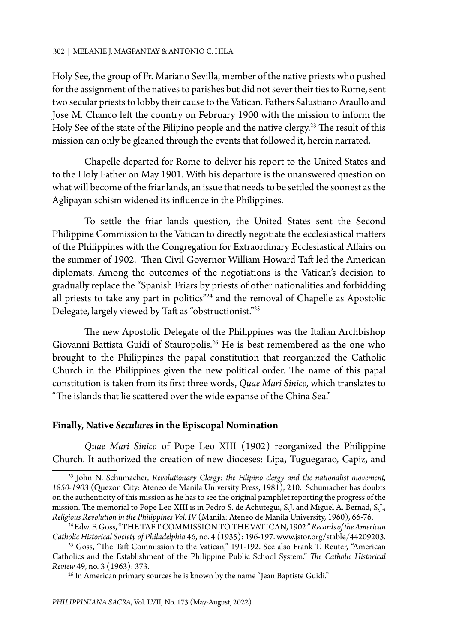Holy See, the group of Fr. Mariano Sevilla, member of the native priests who pushed for the assignment of the natives to parishes but did not sever their ties to Rome, sent two secular priests to lobby their cause to the Vatican. Fathers Salustiano Araullo and Jose M. Chanco left the country on February 1900 with the mission to inform the Holy See of the state of the Filipino people and the native clergy.<sup>23</sup> The result of this mission can only be gleaned through the events that followed it, herein narrated.

Chapelle departed for Rome to deliver his report to the United States and to the Holy Father on May 1901. With his departure is the unanswered question on what will become of the friar lands, an issue that needs to be settled the soonest as the Aglipayan schism widened its influence in the Philippines.

To settle the friar lands question, the United States sent the Second Philippine Commission to the Vatican to directly negotiate the ecclesiastical matters of the Philippines with the Congregation for Extraordinary Ecclesiastical Affairs on the summer of 1902. Then Civil Governor William Howard Taft led the American diplomats. Among the outcomes of the negotiations is the Vatican's decision to gradually replace the "Spanish Friars by priests of other nationalities and forbidding all priests to take any part in politics"24 and the removal of Chapelle as Apostolic Delegate, largely viewed by Taft as "obstructionist."25

The new Apostolic Delegate of the Philippines was the Italian Archbishop Giovanni Battista Guidi of Stauropolis.26 He is best remembered as the one who brought to the Philippines the papal constitution that reorganized the Catholic Church in the Philippines given the new political order. The name of this papal constitution is taken from its first three words, *Quae Mari Sinico,* which translates to "The islands that lie scattered over the wide expanse of the China Sea."

## **Finally, Native** *Seculares* **in the Episcopal Nomination**

*Quae Mari Sinico* of Pope Leo XIII (1902) reorganized the Philippine Church. It authorized the creation of new dioceses: Lipa, Tuguegarao, Capiz, and

<sup>23</sup> John N. Schumacher, *Revolutionary Clergy: the Filipino clergy and the nationalist movement, 1850-1903* (Quezon City: Ateneo de Manila University Press, 1981), 210. Schumacher has doubts on the authenticity of this mission as he has to see the original pamphlet reporting the progress of the mission. The memorial to Pope Leo XIII is in Pedro S. de Achutegui, S.J. and Miguel A. Bernad, S.J., *Religious Revolution in the Philippines Vol. IV* (Manila: Ateneo de Manila University, 1960), 66-76.

<sup>24</sup> Edw. F. Goss, "THE TAFT COMMISSION TO THE VATICAN, 1902." *Records of the American Catholic Historical Society of Philadelphia* 46, no. 4 (1935): 196-197. www.jstor.org/stable/44209203.

<sup>&</sup>lt;sup>25</sup> Goss, "The Taft Commission to the Vatican," 191-192. See also Frank T. Reuter, "American Catholics and the Establishment of the Philippine Public School System." *The Catholic Historical Review 49, no.* 3 (1963): 373.<br><sup>26</sup> In American primary sources he is known by the name "Jean Baptiste Guidi."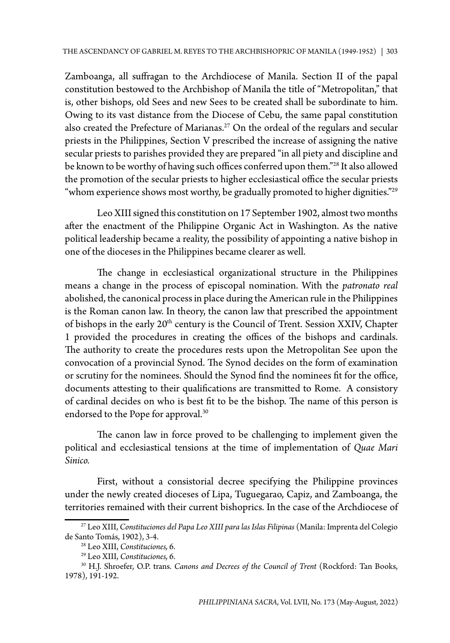Zamboanga, all suffragan to the Archdiocese of Manila. Section II of the papal constitution bestowed to the Archbishop of Manila the title of "Metropolitan," that is, other bishops, old Sees and new Sees to be created shall be subordinate to him. Owing to its vast distance from the Diocese of Cebu, the same papal constitution also created the Prefecture of Marianas.<sup>27</sup> On the ordeal of the regulars and secular priests in the Philippines, Section V prescribed the increase of assigning the native secular priests to parishes provided they are prepared "in all piety and discipline and be known to be worthy of having such offices conferred upon them."28 It also allowed the promotion of the secular priests to higher ecclesiastical office the secular priests "whom experience shows most worthy, be gradually promoted to higher dignities."<sup>29</sup>

Leo XIII signed this constitution on 17 September 1902, almost two months after the enactment of the Philippine Organic Act in Washington. As the native political leadership became a reality, the possibility of appointing a native bishop in one of the dioceses in the Philippines became clearer as well.

The change in ecclesiastical organizational structure in the Philippines means a change in the process of episcopal nomination. With the *patronato real* abolished, the canonical process in place during the American rule in the Philippines is the Roman canon law. In theory, the canon law that prescribed the appointment of bishops in the early 20<sup>th</sup> century is the Council of Trent. Session XXIV, Chapter 1 provided the procedures in creating the offices of the bishops and cardinals. The authority to create the procedures rests upon the Metropolitan See upon the convocation of a provincial Synod. The Synod decides on the form of examination or scrutiny for the nominees. Should the Synod find the nominees fit for the office, documents attesting to their qualifications are transmitted to Rome. A consistory of cardinal decides on who is best fit to be the bishop. The name of this person is endorsed to the Pope for approval.<sup>30</sup>

The canon law in force proved to be challenging to implement given the political and ecclesiastical tensions at the time of implementation of *Quae Mari Sinico.*

First, without a consistorial decree specifying the Philippine provinces under the newly created dioceses of Lipa, Tuguegarao, Capiz, and Zamboanga, the territories remained with their current bishoprics. In the case of the Archdiocese of

<sup>27</sup> Leo XIII, *Constituciones del Papa Leo XIII para las Islas Filipinas* (Manila: Imprenta del Colegio de Santo Tomás, 1902), 3-4.

<sup>28</sup> Leo XIII, *Constituciones,* 6.

<sup>29</sup> Leo XIII, *Constituciones,* 6.

<sup>30</sup> H.J. Shroefer, O.P. trans. *Canons and Decrees of the Council of Trent* (Rockford: Tan Books, 1978), 191-192.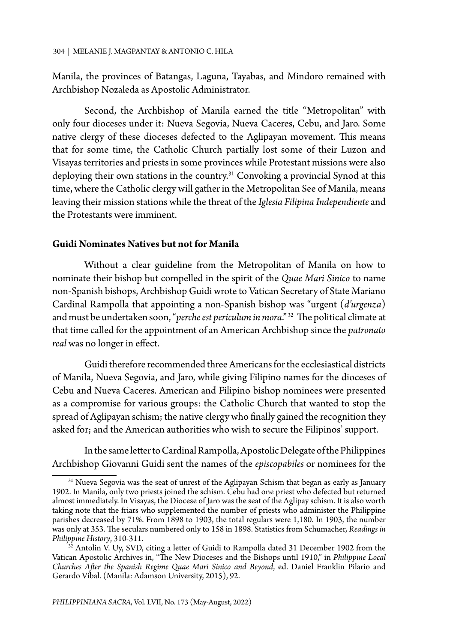Manila, the provinces of Batangas, Laguna, Tayabas, and Mindoro remained with Archbishop Nozaleda as Apostolic Administrator.

Second, the Archbishop of Manila earned the title "Metropolitan" with only four dioceses under it: Nueva Segovia, Nueva Caceres, Cebu, and Jaro. Some native clergy of these dioceses defected to the Aglipayan movement. This means that for some time, the Catholic Church partially lost some of their Luzon and Visayas territories and priests in some provinces while Protestant missions were also deploying their own stations in the country.<sup>31</sup> Convoking a provincial Synod at this time, where the Catholic clergy will gather in the Metropolitan See of Manila, means leaving their mission stations while the threat of the *Iglesia Filipina Independiente* and the Protestants were imminent.

## **Guidi Nominates Natives but not for Manila**

Without a clear guideline from the Metropolitan of Manila on how to nominate their bishop but compelled in the spirit of the *Quae Mari Sinico* to name non-Spanish bishops, Archbishop Guidi wrote to Vatican Secretary of State Mariano Cardinal Rampolla that appointing a non-Spanish bishop was "urgent (*d'urgenza*) and must be undertaken soon, "*perche est periculum in mora*." 32 The political climate at that time called for the appointment of an American Archbishop since the *patronato real* was no longer in effect.

Guidi therefore recommended three Americans for the ecclesiastical districts of Manila, Nueva Segovia, and Jaro, while giving Filipino names for the dioceses of Cebu and Nueva Caceres. American and Filipino bishop nominees were presented as a compromise for various groups: the Catholic Church that wanted to stop the spread of Aglipayan schism; the native clergy who finally gained the recognition they asked for; and the American authorities who wish to secure the Filipinos' support.

In the same letter to Cardinal Rampolla, Apostolic Delegate of the Philippines Archbishop Giovanni Guidi sent the names of the *episcopabiles* or nominees for the

<sup>&</sup>lt;sup>31</sup> Nueva Segovia was the seat of unrest of the Aglipayan Schism that began as early as January 1902. In Manila, only two priests joined the schism. Cebu had one priest who defected but returned almost immediately. In Visayas, the Diocese of Jaro was the seat of the Aglipay schism. It is also worth taking note that the friars who supplemented the number of priests who administer the Philippine parishes decreased by 71%. From 1898 to 1903, the total regulars were 1,180. In 1903, the number was only at 353. The seculars numbered only to 158 in 1898. Statistics from Schumacher, *Readings in Philippine History*, 310-311.

 $3\overline{2}$  Antolin V. Uy, SVD, citing a letter of Guidi to Rampolla dated 31 December 1902 from the Vatican Apostolic Archives in, "The New Dioceses and the Bishops until 1910," in *Philippine Local Churches After the Spanish Regime Quae Mari Sinico and Beyond*, ed. Daniel Franklin Pilario and Gerardo Vibal. (Manila: Adamson University, 2015), 92.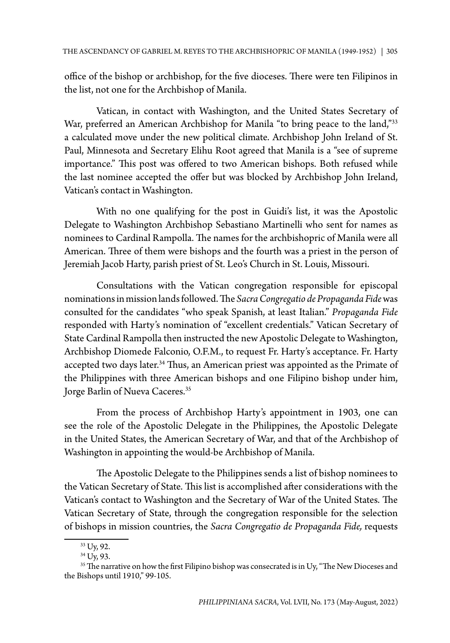office of the bishop or archbishop, for the five dioceses. There were ten Filipinos in the list, not one for the Archbishop of Manila.

Vatican, in contact with Washington, and the United States Secretary of War, preferred an American Archbishop for Manila "to bring peace to the land,"33 a calculated move under the new political climate. Archbishop John Ireland of St. Paul, Minnesota and Secretary Elihu Root agreed that Manila is a "see of supreme importance." This post was offered to two American bishops. Both refused while the last nominee accepted the offer but was blocked by Archbishop John Ireland, Vatican's contact in Washington.

With no one qualifying for the post in Guidi's list, it was the Apostolic Delegate to Washington Archbishop Sebastiano Martinelli who sent for names as nominees to Cardinal Rampolla. The names for the archbishopric of Manila were all American. Three of them were bishops and the fourth was a priest in the person of Jeremiah Jacob Harty, parish priest of St. Leo's Church in St. Louis, Missouri.

Consultations with the Vatican congregation responsible for episcopal nominations in mission lands followed. The *Sacra Congregatio de Propaganda Fide* was consulted for the candidates "who speak Spanish, at least Italian." *Propaganda Fide*  responded with Harty's nomination of "excellent credentials." Vatican Secretary of State Cardinal Rampolla then instructed the new Apostolic Delegate to Washington, Archbishop Diomede Falconio, O.F.M., to request Fr. Harty's acceptance. Fr. Harty accepted two days later.<sup>34</sup> Thus, an American priest was appointed as the Primate of the Philippines with three American bishops and one Filipino bishop under him, Jorge Barlin of Nueva Caceres.<sup>35</sup>

From the process of Archbishop Harty's appointment in 1903, one can see the role of the Apostolic Delegate in the Philippines, the Apostolic Delegate in the United States, the American Secretary of War, and that of the Archbishop of Washington in appointing the would-be Archbishop of Manila.

The Apostolic Delegate to the Philippines sends a list of bishop nominees to the Vatican Secretary of State. This list is accomplished after considerations with the Vatican's contact to Washington and the Secretary of War of the United States. The Vatican Secretary of State, through the congregation responsible for the selection of bishops in mission countries, the *Sacra Congregatio de Propaganda Fide,* requests

<sup>33</sup> Uy, 92.

<sup>34</sup> Uy, 93.

 $35$  The narrative on how the first Filipino bishop was consecrated is in Uy, "The New Dioceses and the Bishops until 1910," 99-105.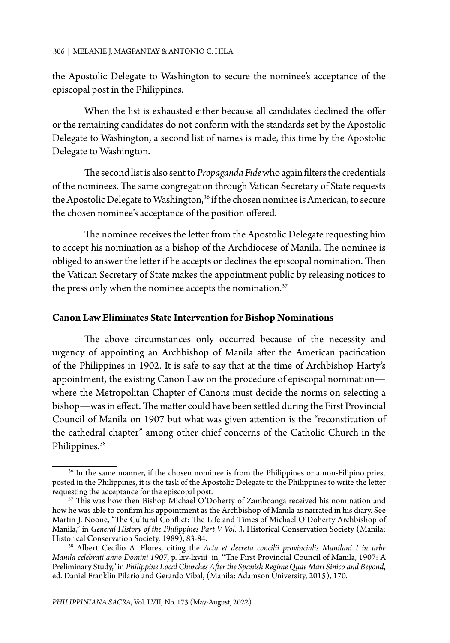the Apostolic Delegate to Washington to secure the nominee's acceptance of the episcopal post in the Philippines.

When the list is exhausted either because all candidates declined the offer or the remaining candidates do not conform with the standards set by the Apostolic Delegate to Washington, a second list of names is made, this time by the Apostolic Delegate to Washington.

The second list is also sent to *Propaganda Fide* who again filters the credentials of the nominees. The same congregation through Vatican Secretary of State requests the Apostolic Delegate to Washington,<sup>36</sup> if the chosen nominee is American, to secure the chosen nominee's acceptance of the position offered.

The nominee receives the letter from the Apostolic Delegate requesting him to accept his nomination as a bishop of the Archdiocese of Manila. The nominee is obliged to answer the letter if he accepts or declines the episcopal nomination. Then the Vatican Secretary of State makes the appointment public by releasing notices to the press only when the nominee accepts the nomination. $37$ 

## **Canon Law Eliminates State Intervention for Bishop Nominations**

The above circumstances only occurred because of the necessity and urgency of appointing an Archbishop of Manila after the American pacification of the Philippines in 1902. It is safe to say that at the time of Archbishop Harty's appointment, the existing Canon Law on the procedure of episcopal nomination where the Metropolitan Chapter of Canons must decide the norms on selecting a bishop—was in effect. The matter could have been settled during the First Provincial Council of Manila on 1907 but what was given attention is the "reconstitution of the cathedral chapter" among other chief concerns of the Catholic Church in the Philippines.<sup>38</sup>

<sup>&</sup>lt;sup>36</sup> In the same manner, if the chosen nominee is from the Philippines or a non-Filipino priest posted in the Philippines, it is the task of the Apostolic Delegate to the Philippines to write the letter requesting the acceptance for the episcopal post.

 $37$  This was how then Bishop Michael O'Doherty of Zamboanga received his nomination and how he was able to confirm his appointment as the Archbishop of Manila as narrated in his diary. See Martin J. Noone, "The Cultural Conflict: The Life and Times of Michael O'Doherty Archbishop of Manila," in *General History of the Philippines Part V Vol. 3*, Historical Conservation Society (Manila:

<sup>&</sup>lt;sup>38</sup> Albert Cecilio A. Flores, citing the Acta et decreta concilii provincialis Manilani I in urbe *Manila celebrati anno Domini 1907*, p. lxv-lxviii in, "The First Provincial Council of Manila, 1907: A Preliminary Study," in *Philippine Local Churches After the Spanish Regime Quae Mari Sinico and Beyond*, ed. Daniel Franklin Pilario and Gerardo Vibal, (Manila: Adamson University, 2015), 170.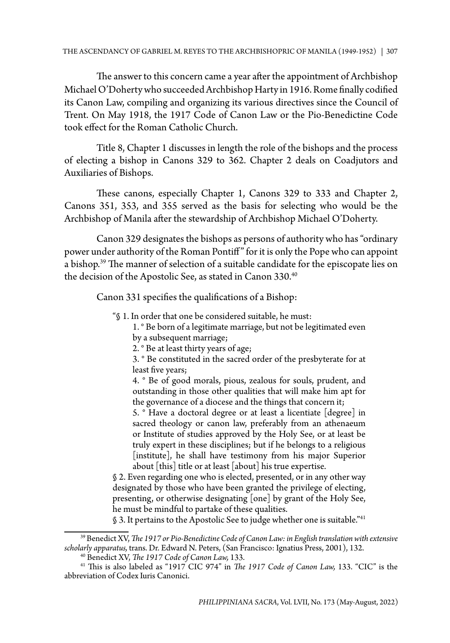The answer to this concern came a year after the appointment of Archbishop Michael O'Doherty who succeeded Archbishop Harty in 1916. Rome finally codified its Canon Law, compiling and organizing its various directives since the Council of Trent. On May 1918, the 1917 Code of Canon Law or the Pio-Benedictine Code took effect for the Roman Catholic Church.

Title 8, Chapter 1 discusses in length the role of the bishops and the process of electing a bishop in Canons 329 to 362. Chapter 2 deals on Coadjutors and Auxiliaries of Bishops.

These canons, especially Chapter 1, Canons 329 to 333 and Chapter 2, Canons 351, 353, and 355 served as the basis for selecting who would be the Archbishop of Manila after the stewardship of Archbishop Michael O'Doherty.

Canon 329 designates the bishops as persons of authority who has "ordinary power under authority of the Roman Pontiff" for it is only the Pope who can appoint a bishop.<sup>39</sup> The manner of selection of a suitable candidate for the episcopate lies on the decision of the Apostolic See, as stated in Canon 330.<sup>40</sup>

Canon 331 specifies the qualifications of a Bishop:

- "§ 1. In order that one be considered suitable, he must:
	- 1. ° Be born of a legitimate marriage, but not be legitimated even by a subsequent marriage;
	- 2. ° Be at least thirty years of age;

3. ° Be constituted in the sacred order of the presbyterate for at least five years;

4. ° Be of good morals, pious, zealous for souls, prudent, and outstanding in those other qualities that will make him apt for the governance of a diocese and the things that concern it;

5. ° Have a doctoral degree or at least a licentiate [degree] in sacred theology or canon law, preferably from an athenaeum or Institute of studies approved by the Holy See, or at least be truly expert in these disciplines; but if he belongs to a religious [institute], he shall have testimony from his major Superior about [this] title or at least [about] his true expertise.

§ 2. Even regarding one who is elected, presented, or in any other way designated by those who have been granted the privilege of electing, presenting, or otherwise designating [one] by grant of the Holy See, he must be mindful to partake of these qualities.

§ 3. It pertains to the Apostolic See to judge whether one is suitable."<sup>41</sup>

<sup>39</sup> Benedict XV, *The 1917 or Pio-Benedictine Code of Canon Law: in English translation with extensive scholarly apparatus,* trans. Dr. Edward N. Peters, (San Francisco: Ignatius Press, 2001), 132.

<sup>40</sup> Benedict XV, *The 1917 Code of Canon Law,* 133.

<sup>41</sup> This is also labeled as "1917 CIC 974" in *The 1917 Code of Canon Law,* 133. "CIC" is the abbreviation of Codex Iuris Canonici.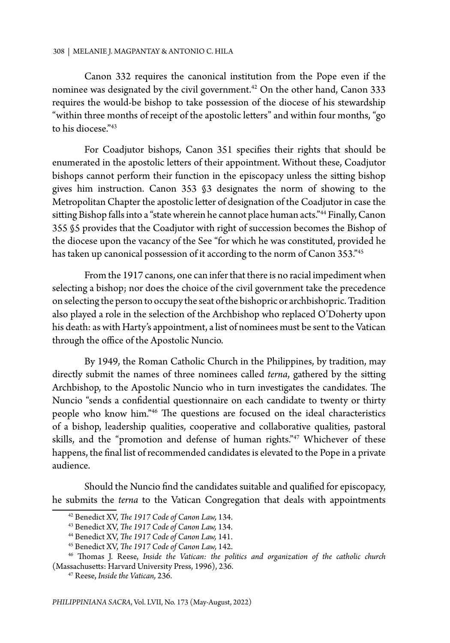Canon 332 requires the canonical institution from the Pope even if the nominee was designated by the civil government.<sup>42</sup> On the other hand, Canon 333 requires the would-be bishop to take possession of the diocese of his stewardship "within three months of receipt of the apostolic letters" and within four months, "go to his diocese."43

For Coadjutor bishops, Canon 351 specifies their rights that should be enumerated in the apostolic letters of their appointment. Without these, Coadjutor bishops cannot perform their function in the episcopacy unless the sitting bishop gives him instruction. Canon 353 §3 designates the norm of showing to the Metropolitan Chapter the apostolic letter of designation of the Coadjutor in case the sitting Bishop falls into a "state wherein he cannot place human acts."<sup>44</sup> Finally, Canon 355 §5 provides that the Coadjutor with right of succession becomes the Bishop of the diocese upon the vacancy of the See "for which he was constituted, provided he has taken up canonical possession of it according to the norm of Canon 353."45

From the 1917 canons, one can infer that there is no racial impediment when selecting a bishop; nor does the choice of the civil government take the precedence on selecting the person to occupy the seat of the bishopric or archbishopric. Tradition also played a role in the selection of the Archbishop who replaced O'Doherty upon his death: as with Harty's appointment, a list of nominees must be sent to the Vatican through the office of the Apostolic Nuncio.

By 1949, the Roman Catholic Church in the Philippines, by tradition, may directly submit the names of three nominees called *terna*, gathered by the sitting Archbishop, to the Apostolic Nuncio who in turn investigates the candidates. The Nuncio "sends a confidential questionnaire on each candidate to twenty or thirty people who know him."46 The questions are focused on the ideal characteristics of a bishop, leadership qualities, cooperative and collaborative qualities, pastoral skills, and the "promotion and defense of human rights."<sup>47</sup> Whichever of these happens, the final list of recommended candidates is elevated to the Pope in a private audience.

Should the Nuncio find the candidates suitable and qualified for episcopacy, he submits the *terna* to the Vatican Congregation that deals with appointments

<sup>42</sup> Benedict XV, *The 1917 Code of Canon Law,* 134.

<sup>43</sup> Benedict XV, *The 1917 Code of Canon Law,* 134.

<sup>44</sup> Benedict XV, *The 1917 Code of Canon Law,* 141.

<sup>45</sup> Benedict XV, *The 1917 Code of Canon Law,* 142.

<sup>46</sup> Thomas J. Reese, *Inside the Vatican: the politics and organization of the catholic church* (Massachusetts: Harvard University Press, 1996), 236.

<sup>47</sup> Reese, *Inside the Vatican,* 236.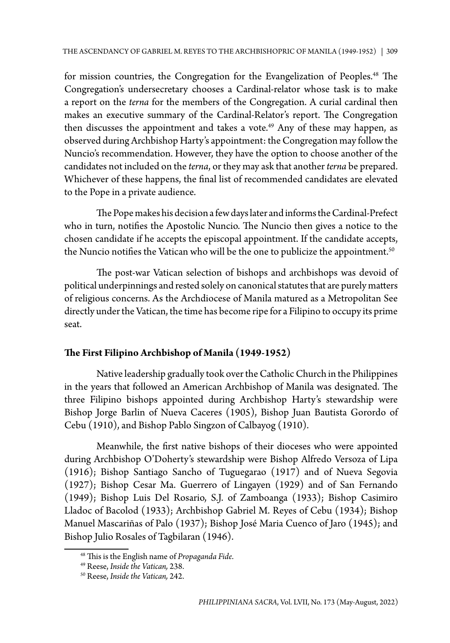for mission countries, the Congregation for the Evangelization of Peoples.<sup>48</sup> The Congregation's undersecretary chooses a Cardinal-relator whose task is to make a report on the *terna* for the members of the Congregation. A curial cardinal then makes an executive summary of the Cardinal-Relator's report. The Congregation then discusses the appointment and takes a vote.<sup>49</sup> Any of these may happen, as observed during Archbishop Harty's appointment: the Congregation may follow the Nuncio's recommendation. However, they have the option to choose another of the candidates not included on the *terna*, or they may ask that another *terna* be prepared. Whichever of these happens, the final list of recommended candidates are elevated to the Pope in a private audience.

The Pope makes his decision a few days later and informs the Cardinal-Prefect who in turn, notifies the Apostolic Nuncio. The Nuncio then gives a notice to the chosen candidate if he accepts the episcopal appointment. If the candidate accepts, the Nuncio notifies the Vatican who will be the one to publicize the appointment.<sup>50</sup>

The post-war Vatican selection of bishops and archbishops was devoid of political underpinnings and rested solely on canonical statutes that are purely matters of religious concerns. As the Archdiocese of Manila matured as a Metropolitan See directly under the Vatican, the time has become ripe for a Filipino to occupy its prime seat.

# **The First Filipino Archbishop of Manila (1949-1952)**

Native leadership gradually took over the Catholic Church in the Philippines in the years that followed an American Archbishop of Manila was designated. The three Filipino bishops appointed during Archbishop Harty's stewardship were Bishop Jorge Barlin of Nueva Caceres (1905), Bishop Juan Bautista Gorordo of Cebu (1910), and Bishop Pablo Singzon of Calbayog (1910).

Meanwhile, the first native bishops of their dioceses who were appointed during Archbishop O'Doherty's stewardship were Bishop Alfredo Versoza of Lipa (1916); Bishop Santiago Sancho of Tuguegarao (1917) and of Nueva Segovia (1927); Bishop Cesar Ma. Guerrero of Lingayen (1929) and of San Fernando (1949); Bishop Luis Del Rosario, S.J. of Zamboanga (1933); Bishop Casimiro Lladoc of Bacolod (1933); Archbishop Gabriel M. Reyes of Cebu (1934); Bishop Manuel Mascariñas of Palo (1937); Bishop José Maria Cuenco of Jaro (1945); and Bishop Julio Rosales of Tagbilaran (1946).

<sup>48</sup> This is the English name of *Propaganda Fide*.

<sup>49</sup> Reese, *Inside the Vatican,* 238.

<sup>50</sup> Reese, *Inside the Vatican,* 242.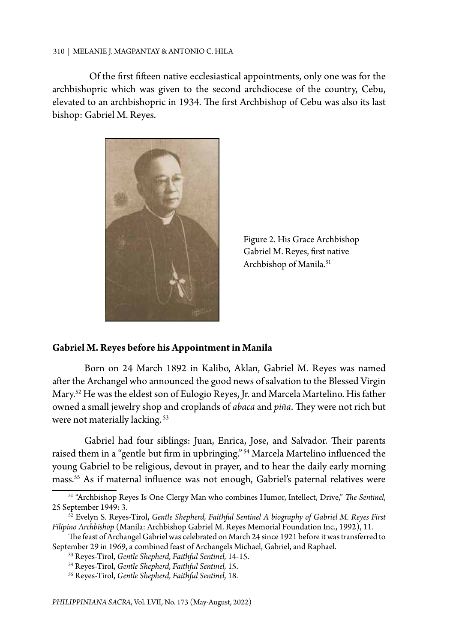Of the first fifteen native ecclesiastical appointments, only one was for the archbishopric which was given to the second archdiocese of the country, Cebu, elevated to an archbishopric in 1934. The first Archbishop of Cebu was also its last bishop: Gabriel M. Reyes.



Figure 2. His Grace Archbishop Gabriel M. Reyes, first native Archbishop of Manila.<sup>51</sup>

## **Gabriel M. Reyes before his Appointment in Manila**

Born on 24 March 1892 in Kalibo, Aklan, Gabriel M. Reyes was named after the Archangel who announced the good news of salvation to the Blessed Virgin Mary.52 He was the eldest son of Eulogio Reyes, Jr. and Marcela Martelino. His father owned a small jewelry shop and croplands of *abaca* and *piña*. They were not rich but were not materially lacking. 53

Gabriel had four siblings: Juan, Enrica, Jose, and Salvador. Their parents raised them in a "gentle but firm in upbringing." 54 Marcela Martelino influenced the young Gabriel to be religious, devout in prayer, and to hear the daily early morning mass.55 As if maternal influence was not enough, Gabriel's paternal relatives were

<sup>51 &</sup>quot;Archbishop Reyes Is One Clergy Man who combines Humor, Intellect, Drive," *The Sentinel*, 25 September 1949: 3.

<sup>52</sup> Evelyn S. Reyes-Tirol, *Gentle Shepherd, Faithful Sentinel A biography of Gabriel M. Reyes First Filipino Archbishop* (Manila: Archbishop Gabriel M. Reyes Memorial Foundation Inc., 1992), 11.

The feast of Archangel Gabriel was celebrated on March 24 since 1921 before it was transferred to September 29 in 1969, a combined feast of Archangels Michael, Gabriel, and Raphael.

<sup>53</sup> Reyes-Tirol, *Gentle Shepherd, Faithful Sentinel,* 14-15.

<sup>54</sup> Reyes-Tirol, *Gentle Shepherd, Faithful Sentinel,* 15.

<sup>55</sup> Reyes-Tirol, *Gentle Shepherd, Faithful Sentinel,* 18.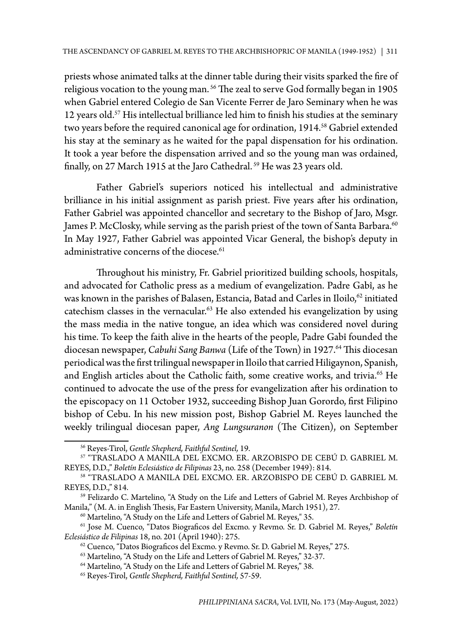priests whose animated talks at the dinner table during their visits sparked the fire of religious vocation to the young man.<sup>56</sup> The zeal to serve God formally began in 1905 when Gabriel entered Colegio de San Vicente Ferrer de Jaro Seminary when he was 12 years old.<sup>57</sup> His intellectual brilliance led him to finish his studies at the seminary two years before the required canonical age for ordination, 1914.<sup>58</sup> Gabriel extended his stay at the seminary as he waited for the papal dispensation for his ordination. It took a year before the dispensation arrived and so the young man was ordained, finally, on 27 March 1915 at the Jaro Cathedral.<sup>59</sup> He was 23 years old.

Father Gabriel's superiors noticed his intellectual and administrative brilliance in his initial assignment as parish priest. Five years after his ordination, Father Gabriel was appointed chancellor and secretary to the Bishop of Jaro, Msgr. James P. McClosky, while serving as the parish priest of the town of Santa Barbara.<sup>60</sup> In May 1927, Father Gabriel was appointed Vicar General, the bishop's deputy in administrative concerns of the diocese.<sup>61</sup>

Throughout his ministry, Fr. Gabriel prioritized building schools, hospitals, and advocated for Catholic press as a medium of evangelization. Padre Gabî, as he was known in the parishes of Balasen, Estancia, Batad and Carles in Iloilo,<sup>62</sup> initiated catechism classes in the vernacular.<sup>63</sup> He also extended his evangelization by using the mass media in the native tongue, an idea which was considered novel during his time. To keep the faith alive in the hearts of the people, Padre Gabî founded the diocesan newspaper, *Cabuhi Sang Banwa* (Life of the Town) in 1927.<sup>64</sup> This diocesan periodical was the first trilingual newspaper in Iloilo that carried Hiligaynon, Spanish, and English articles about the Catholic faith, some creative works, and trivia.<sup>65</sup> He continued to advocate the use of the press for evangelization after his ordination to the episcopacy on 11 October 1932, succeeding Bishop Juan Gorordo, first Filipino bishop of Cebu. In his new mission post, Bishop Gabriel M. Reyes launched the weekly trilingual diocesan paper, *Ang Lungsuranon* (The Citizen), on September

60 Martelino, "A Study on the Life and Letters of Gabriel M. Reyes," 35.

<sup>56</sup> Reyes-Tirol, *Gentle Shepherd, Faithful Sentinel,* 19.

<sup>57 &</sup>quot;TRASLADO A MANILA DEL EXCMO. ER. ARZOBISPO DE CEBÚ D. GABRIEL M. REYES, D.D.," *Boletín Eclesiástico de Filipinas* 23, no. 258 (December 1949): 814.

<sup>58 &</sup>quot;TRASLADO A MANILA DEL EXCMO. ER. ARZOBISPO DE CEBÚ D. GABRIEL M. REYES, D.D.," 814.

<sup>59</sup> Felizardo C. Martelino, "A Study on the Life and Letters of Gabriel M. Reyes Archbishop of Manila," (M. A. in English Thesis, Far Eastern University, Manila, March 1951), 27.

<sup>61</sup> Jose M. Cuenco, "Datos Biograficos del Excmo. y Revmo. Sr. D. Gabriel M. Reyes," *Boletín Eclesiástico de Filipinas* 18, no. 201 (April 1940): 275.

<sup>62</sup> Cuenco, "Datos Biograficos del Excmo. y Revmo. Sr. D. Gabriel M. Reyes," 275.

<sup>63</sup> Martelino, "A Study on the Life and Letters of Gabriel M. Reyes," 32-37.

<sup>64</sup> Martelino, "A Study on the Life and Letters of Gabriel M. Reyes," 38.

<sup>65</sup> Reyes-Tirol, *Gentle Shepherd, Faithful Sentinel,* 57-59.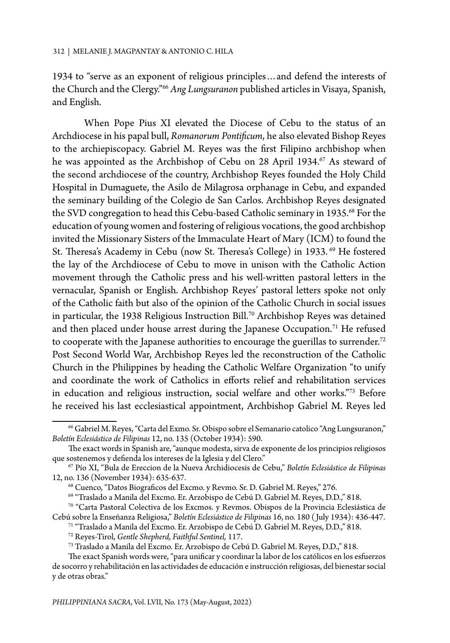1934 to "serve as an exponent of religious principles…and defend the interests of the Church and the Clergy."66 *Ang Lungsuranon* published articles in Visaya, Spanish, and English.

When Pope Pius XI elevated the Diocese of Cebu to the status of an Archdiocese in his papal bull, *Romanorum Pontificum*, he also elevated Bishop Reyes to the archiepiscopacy. Gabriel M. Reyes was the first Filipino archbishop when he was appointed as the Archbishop of Cebu on 28 April 1934.<sup>67</sup> As steward of the second archdiocese of the country, Archbishop Reyes founded the Holy Child Hospital in Dumaguete, the Asilo de Milagrosa orphanage in Cebu, and expanded the seminary building of the Colegio de San Carlos. Archbishop Reyes designated the SVD congregation to head this Cebu-based Catholic seminary in 1935.<sup>68</sup> For the education of young women and fostering of religious vocations, the good archbishop invited the Missionary Sisters of the Immaculate Heart of Mary (ICM) to found the St. Theresa's Academy in Cebu (now St. Theresa's College) in 1933.<sup>69</sup> He fostered the lay of the Archdiocese of Cebu to move in unison with the Catholic Action movement through the Catholic press and his well-written pastoral letters in the vernacular, Spanish or English. Archbishop Reyes' pastoral letters spoke not only of the Catholic faith but also of the opinion of the Catholic Church in social issues in particular, the 1938 Religious Instruction Bill.<sup>70</sup> Archbishop Reyes was detained and then placed under house arrest during the Japanese Occupation.<sup>71</sup> He refused to cooperate with the Japanese authorities to encourage the guerillas to surrender.<sup>72</sup> Post Second World War, Archbishop Reyes led the reconstruction of the Catholic Church in the Philippines by heading the Catholic Welfare Organization "to unify and coordinate the work of Catholics in efforts relief and rehabilitation services in education and religious instruction, social welfare and other works."73 Before he received his last ecclesiastical appointment, Archbishop Gabriel M. Reyes led

<sup>66</sup> Gabriel M. Reyes, "Carta del Exmo. Sr. Obispo sobre el Semanario catolico "Ang Lungsuranon," *Boletín Eclesiástico de Filipinas* 12, no. 135 (October 1934): 590.

The exact words in Spanish are, "aunque modesta, sirva de exponente de los principios religiosos que sostenemos y defienda los intereses de la Iglesia y del Clero."

<sup>67</sup> Pío XI, "Bula de Ereccion de la Nueva Archidiocesis de Cebu," *Boletín Eclesiástico de Filipinas* 12, no. 136 (November 1934): 635-637.

<sup>68</sup> Cuenco, "Datos Biograficos del Excmo. y Revmo. Sr. D. Gabriel M. Reyes," 276.

<sup>69 &</sup>quot;Traslado a Manila del Excmo. Er. Arzobispo de Cebú D. Gabriel M. Reyes, D.D.," 818.

<sup>70 &</sup>quot;Carta Pastoral Colectiva de los Excmos. y Revmos. Obispos de la Provincia Eclesiástica de Cebú sobre la Enseñanza Religiosa," *Boletín Eclesiástico de Filipinas* 16, no. 180 ( July 1934): 436-447.

<sup>71 &</sup>quot;Traslado a Manila del Excmo. Er. Arzobispo de Cebú D. Gabriel M. Reyes, D.D.," 818.

<sup>72</sup> Reyes-Tirol, *Gentle Shepherd, Faithful Sentinel,* 117.

<sup>73</sup> Traslado a Manila del Excmo. Er. Arzobispo de Cebú D. Gabriel M. Reyes, D.D.," 818.

The exact Spanish words were, "para unificar y coordinar la labor de los católicos en los esfuerzos de socorro y rehabilitación en las actividades de educación e instrucción religiosas, del bienestar social y de otras obras."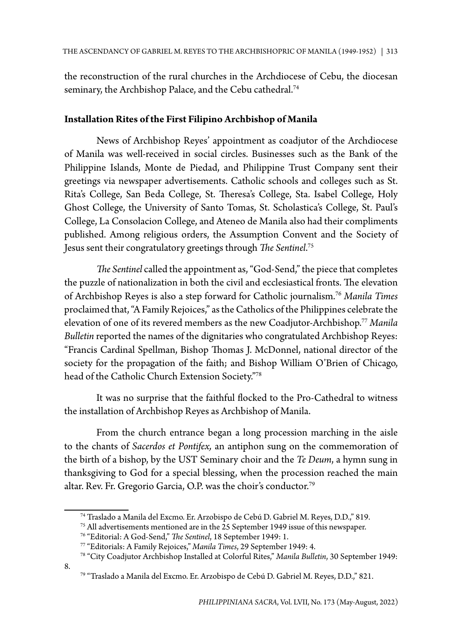the reconstruction of the rural churches in the Archdiocese of Cebu, the diocesan seminary, the Archbishop Palace, and the Cebu cathedral.<sup>74</sup>

# **Installation Rites of the First Filipino Archbishop of Manila**

News of Archbishop Reyes' appointment as coadjutor of the Archdiocese of Manila was well-received in social circles. Businesses such as the Bank of the Philippine Islands, Monte de Piedad, and Philippine Trust Company sent their greetings via newspaper advertisements. Catholic schools and colleges such as St. Rita's College, San Beda College, St. Theresa's College, Sta. Isabel College, Holy Ghost College, the University of Santo Tomas, St. Scholastica's College, St. Paul's College, La Consolacion College, and Ateneo de Manila also had their compliments published. Among religious orders, the Assumption Convent and the Society of Jesus sent their congratulatory greetings through *The Sentinel*. 75

*The Sentinel* called the appointment as, "God-Send," the piece that completes the puzzle of nationalization in both the civil and ecclesiastical fronts. The elevation of Archbishop Reyes is also a step forward for Catholic journalism.76 *Manila Times* proclaimed that, "A Family Rejoices," as the Catholics of the Philippines celebrate the elevation of one of its revered members as the new Coadjutor-Archbishop.77 *Manila Bulletin* reported the names of the dignitaries who congratulated Archbishop Reyes: "Francis Cardinal Spellman, Bishop Thomas J. McDonnel, national director of the society for the propagation of the faith; and Bishop William O'Brien of Chicago, head of the Catholic Church Extension Society."78

It was no surprise that the faithful flocked to the Pro-Cathedral to witness the installation of Archbishop Reyes as Archbishop of Manila.

From the church entrance began a long procession marching in the aisle to the chants of *Sacerdos et Pontifex,* an antiphon sung on the commemoration of the birth of a bishop, by the UST Seminary choir and the *Te Deum*, a hymn sung in thanksgiving to God for a special blessing, when the procession reached the main altar. Rev. Fr. Gregorio Garcia, O.P. was the choir's conductor.79

8.

<sup>74</sup> Traslado a Manila del Excmo. Er. Arzobispo de Cebú D. Gabriel M. Reyes, D.D.," 819.

<sup>75</sup> All advertisements mentioned are in the 25 September 1949 issue of this newspaper.

<sup>76 &</sup>quot;Editorial: A God-Send," *The Sentinel*, 18 September 1949: 1.

<sup>77 &</sup>quot;Editorials: A Family Rejoices," *Manila Times*, 29 September 1949: 4. 78 "City Coadjutor Archbishop Installed at Colorful Rites," *Manila Bulletin*, 30 September 1949:

<sup>79 &</sup>quot;Traslado a Manila del Excmo. Er. Arzobispo de Cebú D. Gabriel M. Reyes, D.D.," 821.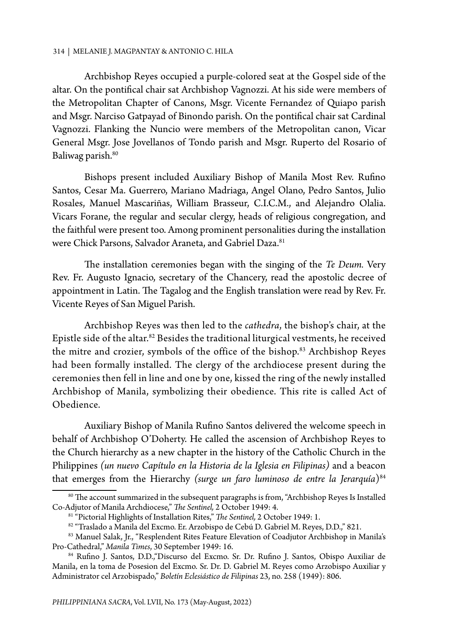Archbishop Reyes occupied a purple-colored seat at the Gospel side of the altar. On the pontifical chair sat Archbishop Vagnozzi. At his side were members of the Metropolitan Chapter of Canons, Msgr. Vicente Fernandez of Quiapo parish and Msgr. Narciso Gatpayad of Binondo parish. On the pontifical chair sat Cardinal Vagnozzi. Flanking the Nuncio were members of the Metropolitan canon, Vicar General Msgr. Jose Jovellanos of Tondo parish and Msgr. Ruperto del Rosario of Baliwag parish.<sup>80</sup>

Bishops present included Auxiliary Bishop of Manila Most Rev. Rufino Santos, Cesar Ma. Guerrero, Mariano Madriaga, Angel Olano, Pedro Santos, Julio Rosales, Manuel Mascariñas, William Brasseur, C.I.C.M., and Alejandro Olalia. Vicars Forane, the regular and secular clergy, heads of religious congregation, and the faithful were present too. Among prominent personalities during the installation were Chick Parsons, Salvador Araneta, and Gabriel Daza.<sup>81</sup>

The installation ceremonies began with the singing of the *Te Deum.* Very Rev. Fr. Augusto Ignacio, secretary of the Chancery, read the apostolic decree of appointment in Latin. The Tagalog and the English translation were read by Rev. Fr. Vicente Reyes of San Miguel Parish.

Archbishop Reyes was then led to the *cathedra*, the bishop's chair, at the Epistle side of the altar.82 Besides the traditional liturgical vestments, he received the mitre and crozier, symbols of the office of the bishop.<sup>83</sup> Archbishop Reyes had been formally installed. The clergy of the archdiocese present during the ceremonies then fell in line and one by one, kissed the ring of the newly installed Archbishop of Manila, symbolizing their obedience. This rite is called Act of Obedience.

Auxiliary Bishop of Manila Rufino Santos delivered the welcome speech in behalf of Archbishop O'Doherty. He called the ascension of Archbishop Reyes to the Church hierarchy as a new chapter in the history of the Catholic Church in the Philippines *(un nuevo Capítulo en la Historia de la Iglesia en Filipinas)* and a beacon that emerges from the Hierarchy *(surge un faro luminoso de entre la Jerarquía*)<sup>84</sup>

<sup>80</sup> The account summarized in the subsequent paragraphs is from, "Archbishop Reyes Is Installed Co-Adjutor of Manila Archdiocese," *The Sentinel,* 2 October 1949: 4.

<sup>81 &</sup>quot;Pictorial Highlights of Installation Rites," *The Sentinel,* 2 October 1949: 1.

<sup>82 &</sup>quot;Traslado a Manila del Excmo. Er. Arzobispo de Cebú D. Gabriel M. Reyes, D.D.," 821.

<sup>83</sup> Manuel Salak, Jr., "Resplendent Rites Feature Elevation of Coadjutor Archbishop in Manila's Pro-Cathedral," *Manila Times*, 30 September 1949: 16.

<sup>84</sup> Rufino J. Santos, D.D.,"Discurso del Excmo. Sr. Dr. Rufino J. Santos, Obispo Auxiliar de Manila, en la toma de Posesion del Excmo. Sr. Dr. D. Gabriel M. Reyes como Arzobispo Auxiliar y Administrator cel Arzobispado," *Boletín Eclesiástico de Filipinas* 23, no. 258 (1949): 806.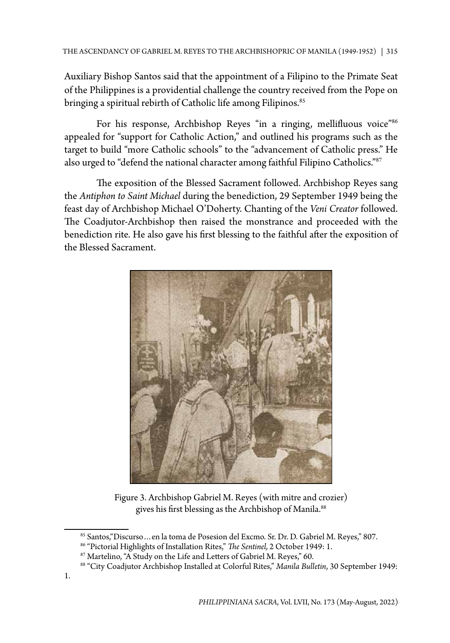Auxiliary Bishop Santos said that the appointment of a Filipino to the Primate Seat of the Philippines is a providential challenge the country received from the Pope on bringing a spiritual rebirth of Catholic life among Filipinos.<sup>85</sup>

For his response, Archbishop Reyes "in a ringing, mellifluous voice"<sup>86</sup> appealed for "support for Catholic Action," and outlined his programs such as the target to build "more Catholic schools" to the "advancement of Catholic press." He also urged to "defend the national character among faithful Filipino Catholics."87

The exposition of the Blessed Sacrament followed. Archbishop Reyes sang the *Antiphon to Saint Michael* during the benediction, 29 September 1949 being the feast day of Archbishop Michael O'Doherty. Chanting of the *Veni Creator* followed. The Coadjutor-Archbishop then raised the monstrance and proceeded with the benediction rite. He also gave his first blessing to the faithful after the exposition of the Blessed Sacrament.



Figure 3. Archbishop Gabriel M. Reyes (with mitre and crozier) gives his first blessing as the Archbishop of Manila.<sup>88</sup>

<sup>85</sup> Santos,"Discurso…en la toma de Posesion del Excmo. Sr. Dr. D. Gabriel M. Reyes," 807.

<sup>86 &</sup>quot;Pictorial Highlights of Installation Rites," *The Sentinel,* 2 October 1949: 1.

<sup>87</sup> Martelino, "A Study on the Life and Letters of Gabriel M. Reyes," 60.

<sup>88 &</sup>quot;City Coadjutor Archbishop Installed at Colorful Rites," *Manila Bulletin*, 30 September 1949: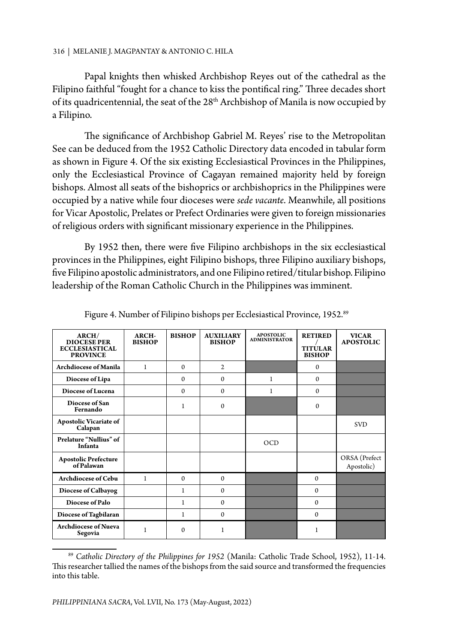Papal knights then whisked Archbishop Reyes out of the cathedral as the Filipino faithful "fought for a chance to kiss the pontifical ring." Three decades short of its quadricentennial, the seat of the 28<sup>th</sup> Archbishop of Manila is now occupied by a Filipino.

The significance of Archbishop Gabriel M. Reyes' rise to the Metropolitan See can be deduced from the 1952 Catholic Directory data encoded in tabular form as shown in Figure 4. Of the six existing Ecclesiastical Provinces in the Philippines, only the Ecclesiastical Province of Cagayan remained majority held by foreign bishops. Almost all seats of the bishoprics or archbishoprics in the Philippines were occupied by a native while four dioceses were *sede vacante*. Meanwhile, all positions for Vicar Apostolic, Prelates or Prefect Ordinaries were given to foreign missionaries of religious orders with significant missionary experience in the Philippines.

By 1952 then, there were five Filipino archbishops in the six ecclesiastical provinces in the Philippines, eight Filipino bishops, three Filipino auxiliary bishops, five Filipino apostolic administrators, and one Filipino retired/titular bishop. Filipino leadership of the Roman Catholic Church in the Philippines was imminent.

| ARCH/                                      | ARCH-         | <b>BISHOP</b> | <b>AUXILIARY</b> | <b>APOSTOLIC</b><br><b>ADMINISTRATOR</b> | <b>RETIRED</b> | <b>VICAR</b>                |
|--------------------------------------------|---------------|---------------|------------------|------------------------------------------|----------------|-----------------------------|
| <b>DIOCESE PER</b>                         | <b>BISHOP</b> |               | <b>BISHOP</b>    |                                          | <b>TITULAR</b> | <b>APOSTOLIC</b>            |
| <b>ECCLESIASTICAL</b><br><b>PROVINCE</b>   |               |               |                  |                                          | <b>BISHOP</b>  |                             |
| <b>Archdiocese of Manila</b>               | $\mathbf{1}$  | $\Omega$      | $\mathbf{2}$     |                                          | $\Omega$       |                             |
|                                            |               |               |                  |                                          |                |                             |
| Diocese of Lipa                            |               | $\Omega$      | $\Omega$         | 1                                        | $\Omega$       |                             |
| Diocese of Lucena                          |               | $\Omega$      | $\Omega$         | 1                                        | $\Omega$       |                             |
| Diocese of San<br>Fernando                 |               | 1             | $\mathbf{0}$     |                                          | $\Omega$       |                             |
| <b>Apostolic Vicariate of</b><br>Calapan   |               |               |                  |                                          |                | <b>SVD</b>                  |
| Prelature "Nullius" of<br>Infanta          |               |               |                  | OCD                                      |                |                             |
| <b>Apostolic Prefecture<br/>of Palawan</b> |               |               |                  |                                          |                | ORSA (Prefect<br>Apostolic) |
| <b>Archdiocese of Cebu</b>                 | 1             | $\Omega$      | $\Omega$         |                                          | $\Omega$       |                             |
| Diocese of Calbayog                        |               | 1             | $\mathbf{0}$     |                                          | $\mathbf{0}$   |                             |
| Diocese of Palo                            |               | 1             | $\mathbf{0}$     |                                          | $\mathbf{0}$   |                             |
| Diocese of Tagbilaran                      |               | 1             | $\mathbf{0}$     |                                          | $\mathbf{0}$   |                             |
| <b>Archdiocese of Nueva</b><br>Segovia     | 1             | $\Omega$      | 1                |                                          | 1              |                             |

Figure 4. Number of Filipino bishops per Ecclesiastical Province, 1952.<sup>89</sup>

<sup>89</sup> *Catholic Directory of the Philippines for 1952* (Manila: Catholic Trade School, 1952), 11-14. This researcher tallied the names of the bishops from the said source and transformed the frequencies into this table.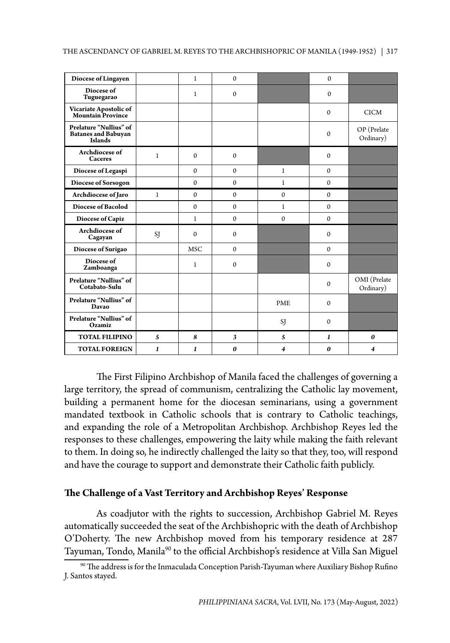| Diocese of Lingayen                                                    |              | $\mathbf{1}$ | $\mathbf{0}$          |              | $\mathbf{0}$ |                           |
|------------------------------------------------------------------------|--------------|--------------|-----------------------|--------------|--------------|---------------------------|
| Diocese of<br>Tuguegarao                                               |              | $\mathbf{1}$ | $\mathbf{0}$          |              | $\Omega$     |                           |
| Vicariate Apostolic of<br><b>Mountain Province</b>                     |              |              |                       |              | $\mathbf{0}$ | <b>CICM</b>               |
| Prelature "Nullius" of<br><b>Batanes and Babuyan</b><br><b>Islands</b> |              |              |                       |              | $\mathbf{0}$ | OP (Prelate<br>Ordinary)  |
| Archdiocese of<br>Caceres                                              | $\mathbf{1}$ | $\Omega$     | $\mathbf{0}$          |              | $\mathbf{0}$ |                           |
| Diocese of Legaspi                                                     |              | $\mathbf{0}$ | $\mathbf{0}$          | $\mathbf{1}$ | $\mathbf{0}$ |                           |
| Diocese of Sorsogon                                                    |              | $\mathbf{0}$ | $\mathbf{0}$          | $\mathbf{1}$ | $\mathbf{0}$ |                           |
| Archdiocese of Jaro                                                    | $\mathbf{1}$ | $\Omega$     | $\Omega$              | $\Omega$     | $\Omega$     |                           |
| <b>Diocese of Bacolod</b>                                              |              | $\Omega$     | $\mathbf{0}$          | $\mathbf{1}$ | $\Omega$     |                           |
| Diocese of Capiz                                                       |              | $\mathbf{1}$ | $\mathbf{0}$          | $\mathbf{0}$ | $\Omega$     |                           |
| Archdiocese of<br>Cagayan                                              | SJ           | $\Omega$     | $\mathbf{0}$          |              | $\Omega$     |                           |
| Diocese of Surigao                                                     |              | <b>MSC</b>   | $\mathbf{0}$          |              | $\Omega$     |                           |
| Diocese of<br>Zamboanga                                                |              | $\mathbf{1}$ | $\mathbf{0}$          |              | $\Omega$     |                           |
| Prelature "Nullius" of<br>Cotabato-Sulu                                |              |              |                       |              | $\mathbf{0}$ | OMI (Prelate<br>Ordinary) |
| Prelature "Nullius" of<br>Davao                                        |              |              |                       | <b>PME</b>   | $\Omega$     |                           |
| Prelature "Nullius" of<br>Ozamiz                                       |              |              |                       | SJ           | $\Omega$     |                           |
| <b>TOTAL FILIPINO</b>                                                  | 5            | 8            | 3                     | 5            | $\bf{1}$     | 0                         |
| <b>TOTAL FOREIGN</b>                                                   | $\bf{1}$     | 1            | $\boldsymbol{\theta}$ | 4            | 0            | 4                         |

The First Filipino Archbishop of Manila faced the challenges of governing a large territory, the spread of communism, centralizing the Catholic lay movement, building a permanent home for the diocesan seminarians, using a government mandated textbook in Catholic schools that is contrary to Catholic teachings, and expanding the role of a Metropolitan Archbishop. Archbishop Reyes led the responses to these challenges, empowering the laity while making the faith relevant to them. In doing so, he indirectly challenged the laity so that they, too, will respond and have the courage to support and demonstrate their Catholic faith publicly.

# **The Challenge of a Vast Territory and Archbishop Reyes' Response**

As coadjutor with the rights to succession, Archbishop Gabriel M. Reyes automatically succeeded the seat of the Archbishopric with the death of Archbishop O'Doherty. The new Archbishop moved from his temporary residence at 287 Tayuman, Tondo, Manila<sup>90</sup> to the official Archbishop's residence at Villa San Miguel

<sup>90</sup> The address is for the Inmaculada Conception Parish-Tayuman where Auxiliary Bishop Rufino J. Santos stayed.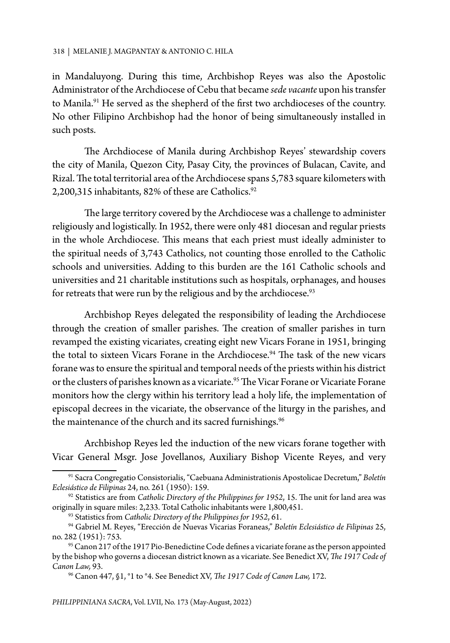in Mandaluyong. During this time, Archbishop Reyes was also the Apostolic Administrator of the Archdiocese of Cebu that became *sede vacante* upon his transfer to Manila.<sup>91</sup> He served as the shepherd of the first two archdioceses of the country. No other Filipino Archbishop had the honor of being simultaneously installed in such posts.

The Archdiocese of Manila during Archbishop Reyes' stewardship covers the city of Manila, Quezon City, Pasay City, the provinces of Bulacan, Cavite, and Rizal. The total territorial area of the Archdiocese spans 5,783 square kilometers with 2,200,315 inhabitants, 82% of these are Catholics.<sup>92</sup>

The large territory covered by the Archdiocese was a challenge to administer religiously and logistically. In 1952, there were only 481 diocesan and regular priests in the whole Archdiocese. This means that each priest must ideally administer to the spiritual needs of 3,743 Catholics, not counting those enrolled to the Catholic schools and universities. Adding to this burden are the 161 Catholic schools and universities and 21 charitable institutions such as hospitals, orphanages, and houses for retreats that were run by the religious and by the archdiocese. $93$ 

Archbishop Reyes delegated the responsibility of leading the Archdiocese through the creation of smaller parishes. The creation of smaller parishes in turn revamped the existing vicariates, creating eight new Vicars Forane in 1951, bringing the total to sixteen Vicars Forane in the Archdiocese.<sup>94</sup> The task of the new vicars forane was to ensure the spiritual and temporal needs of the priests within his district or the clusters of parishes known as a vicariate.<sup>95</sup> The Vicar Forane or Vicariate Forane monitors how the clergy within his territory lead a holy life, the implementation of episcopal decrees in the vicariate, the observance of the liturgy in the parishes, and the maintenance of the church and its sacred furnishings.<sup>96</sup>

Archbishop Reyes led the induction of the new vicars forane together with Vicar General Msgr. Jose Jovellanos, Auxiliary Bishop Vicente Reyes, and very

<sup>91</sup> Sacra Congregatio Consistorialis, "Caebuana Administrationis Apostolicae Decretum," *Boletín Eclesiástico de Filipinas* 24, no. 261 (1950): 159.

<sup>92</sup> Statistics are from *Catholic Directory of the Philippines for 1952*, 15. The unit for land area was originally in square miles: 2,233. Total Catholic inhabitants were 1,800,451.

<sup>93</sup> Statistics from *Catholic Directory of the Philippines for 1952*, 61.

<sup>94</sup> Gabriel M. Reyes, "Erección de Nuevas Vicarias Foraneas," *Boletín Eclesiástico de Filipinas* 25, no. 282 (1951): 753.

<sup>&</sup>lt;sup>95</sup> Canon 217 of the 1917 Pio-Benedictine Code defines a vicariate forane as the person appointed by the bishop who governs a diocesan district known as a vicariate. See Benedict XV, *The 1917 Code of* 

*Canon Law,* 93. 96 Canon 447, §1, °1 to °4. See Benedict XV, *The 1917 Code of Canon Law,* 172.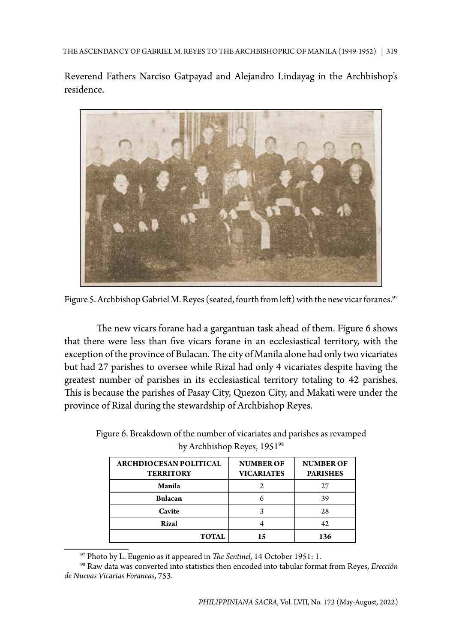THE ASCENDANCY OF GABRIEL M. REYES TO THE ARCHBISHOPRIC OF MANILA (1949-1952) | 319

Reverend Fathers Narciso Gatpayad and Alejandro Lindayag in the Archbishop's residence.



Figure 5. Archbishop Gabriel M. Reyes (seated, fourth from left) with the new vicar foranes.<sup>97</sup>

The new vicars forane had a gargantuan task ahead of them. Figure 6 shows that there were less than five vicars forane in an ecclesiastical territory, with the exception of the province of Bulacan. The city of Manila alone had only two vicariates but had 27 parishes to oversee while Rizal had only 4 vicariates despite having the greatest number of parishes in its ecclesiastical territory totaling to 42 parishes. This is because the parishes of Pasay City, Quezon City, and Makati were under the province of Rizal during the stewardship of Archbishop Reyes.

| <b>ARCHDIOCESAN POLITICAL</b><br><b>TERRITORY</b> | <b>NUMBER OF</b><br><b>VICARIATES</b> | <b>NUMBER OF</b><br><b>PARISHES</b> |  |
|---------------------------------------------------|---------------------------------------|-------------------------------------|--|
| Manila                                            |                                       |                                     |  |
| <b>Bulacan</b>                                    |                                       | 39                                  |  |
| Cavite                                            |                                       | 28                                  |  |
| Rizal                                             |                                       |                                     |  |
| <b>TOTAL</b>                                      |                                       | 136                                 |  |

Figure 6. Breakdown of the number of vicariates and parishes as revamped by Archbishop Reyes, 195198

<sup>97</sup> Photo by L. Eugenio as it appeared in *The Sentinel,* 14 October 1951: 1.

<sup>98</sup> Raw data was converted into statistics then encoded into tabular format from Reyes, *Erección de Nuevas Vicarias Foraneas*, 753.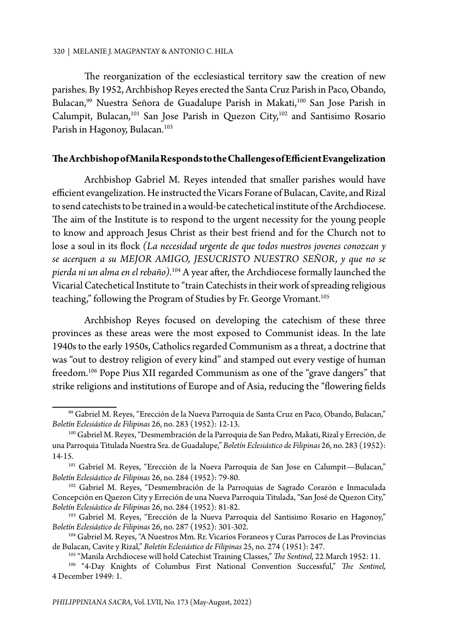The reorganization of the ecclesiastical territory saw the creation of new parishes. By 1952, Archbishop Reyes erected the Santa Cruz Parish in Paco, Obando, Bulacan,<sup>99</sup> Nuestra Señora de Guadalupe Parish in Makati,<sup>100</sup> San Jose Parish in Calumpit, Bulacan,<sup>101</sup> San Jose Parish in Quezon City,<sup>102</sup> and Santisimo Rosario Parish in Hagonoy, Bulacan.<sup>103</sup>

## **The Archbishop of Manila Responds to the Challenges of Efficient Evangelization**

Archbishop Gabriel M. Reyes intended that smaller parishes would have efficient evangelization. He instructed the Vicars Forane of Bulacan, Cavite, and Rizal to send catechists to be trained in a would-be catechetical institute of the Archdiocese. The aim of the Institute is to respond to the urgent necessity for the young people to know and approach Jesus Christ as their best friend and for the Church not to lose a soul in its flock *(La necesidad urgente de que todos nuestros jovenes conozcan y se acerquen a su MEJOR AMIGO, JESUCRISTO NUESTRO SEÑOR, y que no se pierda ni un alma en el rebaño).*104 A year after, the Archdiocese formally launched the Vicarial Catechetical Institute to "train Catechists in their work of spreading religious teaching," following the Program of Studies by Fr. George Vromant.<sup>105</sup>

Archbishop Reyes focused on developing the catechism of these three provinces as these areas were the most exposed to Communist ideas. In the late 1940s to the early 1950s, Catholics regarded Communism as a threat, a doctrine that was "out to destroy religion of every kind" and stamped out every vestige of human freedom.<sup>106</sup> Pope Pius XII regarded Communism as one of the "grave dangers" that strike religions and institutions of Europe and of Asia, reducing the "flowering fields

<sup>99</sup> Gabriel M. Reyes, "Erección de la Nueva Parroquia de Santa Cruz en Paco, Obando, Bulacan," *Boletín Eclesiástico de Filipinas* 26, no. 283 (1952): 12-13.

<sup>100</sup> Gabriel M. Reyes, "Desmembración de la Parroquia de San Pedro, Makati, Rizal y Erreción, de una Parroquia Titulada Nuestra Sra. de Guadalupe," *Boletín Eclesiástico de Filipinas* 26, no. 283 (1952): 14-15.

<sup>&</sup>lt;sup>101</sup> Gabriel M. Reyes, "Erección de la Nueva Parroquia de San Jose en Calumpit-Bulacan," *Boletín Eclesiástico de Filipinas* 26, no. 284 (1952): 79-80.

<sup>102</sup> Gabriel M. Reyes, "Desmembración de la Parroquias de Sagrado Corazón e Inmaculada Concepción en Quezon City y Erreción de una Nueva Parroquia Titulada, "San José de Quezon City," *Boletín Eclesiástico de Filipinas* 26, no. 284 (1952): 81-82.

<sup>&</sup>lt;sup>103</sup> Gabriel M. Reyes, "Erección de la Nueva Parroquia del Santisimo Rosario en Hagonoy," *Boletín Eclesiástico de Filipinas* 26, no. 287 (1952): 301-302.

<sup>104</sup> Gabriel M. Reyes, "A Nuestros Mm. Rr. Vicarios Foraneos y Curas Parrocos de Las Provincias de Bulacan, Cavite y Rizal," *Boletín Eclesiástico de Filipinas* 25, no. 274 (1951): 247.

<sup>105 &</sup>quot;Manila Archdiocese will hold Catechist Training Classes," *The Sentinel,* 22 March 1952: 11.

<sup>106 &</sup>quot;4-Day Knights of Columbus First National Convention Successful," *The Sentinel,*  4 December 1949: 1.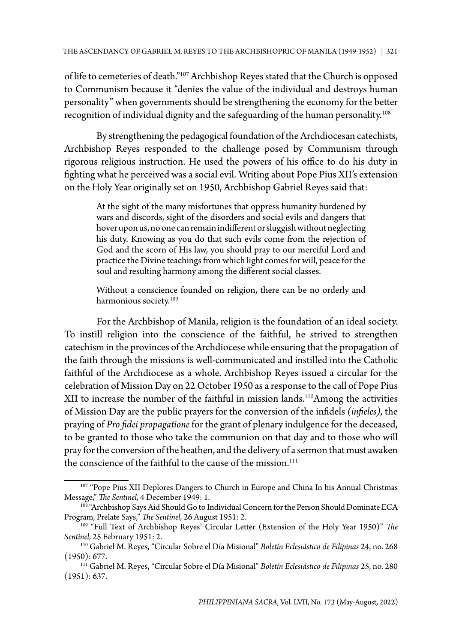of life to cemeteries of death."107 Archbishop Reyes stated that the Church is opposed to Communism because it "denies the value of the individual and destroys human personality" when governments should be strengthening the economy for the better recognition of individual dignity and the safeguarding of the human personality.108

By strengthening the pedagogical foundation of the Archdiocesan catechists, Archbishop Reyes responded to the challenge posed by Communism through rigorous religious instruction. He used the powers of his office to do his duty in fighting what he perceived was a social evil. Writing about Pope Pius XII's extension on the Holy Year originally set on 1950, Archbishop Gabriel Reyes said that:

At the sight of the many misfortunes that oppress humanity burdened by wars and discords, sight of the disorders and social evils and dangers that hover upon us, no one can remain indifferent or sluggish without neglecting his duty. Knowing as you do that such evils come from the rejection of God and the scorn of His law, you should pray to our merciful Lord and practice the Divine teachings from which light comes for will, peace for the soul and resulting harmony among the different social classes.

Without a conscience founded on religion, there can be no orderly and harmonious society.<sup>109</sup>

For the Archbishop of Manila, religion is the foundation of an ideal society. To instill religion into the conscience of the faithful, he strived to strengthen catechism in the provinces of the Archdiocese while ensuring that the propagation of the faith through the missions is well-communicated and instilled into the Catholic faithful of the Archdiocese as a whole. Archbishop Reyes issued a circular for the celebration of Mission Day on 22 October 1950 as a response to the call of Pope Pius XII to increase the number of the faithful in mission lands.<sup>110</sup>Among the activities of Mission Day are the public prayers for the conversion of the infidels *(infieles),* the praying of *Pro fidei propagatione* for the grant of plenary indulgence for the deceased, to be granted to those who take the communion on that day and to those who will pray for the conversion of the heathen, and the delivery of a sermon that must awaken the conscience of the faithful to the cause of the mission. $111$ 

<sup>107 &</sup>quot;Pope Pius XII Deplores Dangers to Church in Europe and China In his Annual Christmas Message," *The Sentinel,* 4 December 1949: 1.

<sup>&</sup>lt;sup>108</sup> "Archbishop Says Aid Should Go to Individual Concern for the Person Should Dominate ECA Program, Prelate Says," *The Sentinel,* 26 August 1951: 2.

<sup>109 &</sup>quot;Full Text of Archbishop Reyes' Circular Letter (Extension of the Holy Year 1950)" *The Sentinel,* 25 February 1951: 2.

<sup>110</sup> Gabriel M. Reyes, "Circular Sobre el Día Misional" *Boletín Eclesiástico de Filipinas* 24, no. 268 (1950): 677.

<sup>111</sup> Gabriel M. Reyes, "Circular Sobre el Día Misional" *Boletín Eclesiástico de Filipinas* 25, no. 280  $(1951): 637.$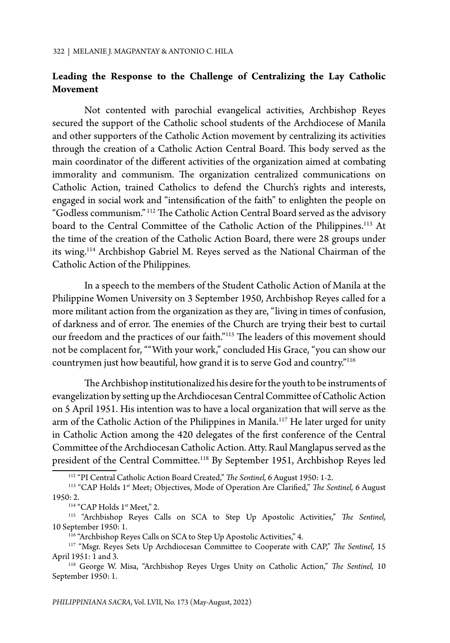# **Leading the Response to the Challenge of Centralizing the Lay Catholic Movement**

Not contented with parochial evangelical activities, Archbishop Reyes secured the support of the Catholic school students of the Archdiocese of Manila and other supporters of the Catholic Action movement by centralizing its activities through the creation of a Catholic Action Central Board. This body served as the main coordinator of the different activities of the organization aimed at combating immorality and communism. The organization centralized communications on Catholic Action, trained Catholics to defend the Church's rights and interests, engaged in social work and "intensification of the faith" to enlighten the people on "Godless communism." 112 The Catholic Action Central Board served as the advisory board to the Central Committee of the Catholic Action of the Philippines.<sup>113</sup> At the time of the creation of the Catholic Action Board, there were 28 groups under its wing.114 Archbishop Gabriel M. Reyes served as the National Chairman of the Catholic Action of the Philippines.

In a speech to the members of the Student Catholic Action of Manila at the Philippine Women University on 3 September 1950, Archbishop Reyes called for a more militant action from the organization as they are, "living in times of confusion, of darkness and of error. The enemies of the Church are trying their best to curtail our freedom and the practices of our faith."115 The leaders of this movement should not be complacent for, ""With your work," concluded His Grace, "you can show our countrymen just how beautiful, how grand it is to serve God and country."116

The Archbishop institutionalized his desire for the youth to be instruments of evangelization by setting up the Archdiocesan Central Committee of Catholic Action on 5 April 1951. His intention was to have a local organization that will serve as the arm of the Catholic Action of the Philippines in Manila.<sup>117</sup> He later urged for unity in Catholic Action among the 420 delegates of the first conference of the Central Committee of the Archdiocesan Catholic Action. Atty. Raul Manglapus served as the president of the Central Committee.118 By September 1951, Archbishop Reyes led

<sup>112 &</sup>quot;PI Central Catholic Action Board Created," *The Sentinel,* 6 August 1950: 1-2.

<sup>&</sup>lt;sup>113</sup> "CAP Holds 1<sup>st</sup> Meet; Objectives, Mode of Operation Are Clarified," The Sentinel, 6 August 1950: 2.<br><sup>114</sup> "CAP Holds 1<sup>st</sup> Meet," 2.

<sup>115 &</sup>quot;Archbishop Reyes Calls on SCA to Step Up Apostolic Activities," *The Sentinel,* 10 September 1950: 1.

<sup>&</sup>lt;sup>116</sup> "Archbishop Reyes Calls on SCA to Step Up Apostolic Activities," 4.

<sup>117 &</sup>quot;Msgr. Reyes Sets Up Archdiocesan Committee to Cooperate with CAP," *The Sentinel,* 15 April 1951: 1 and 3.

<sup>118</sup> George W. Misa, "Archbishop Reyes Urges Unity on Catholic Action," *The Sentinel,* 10 September 1950: 1.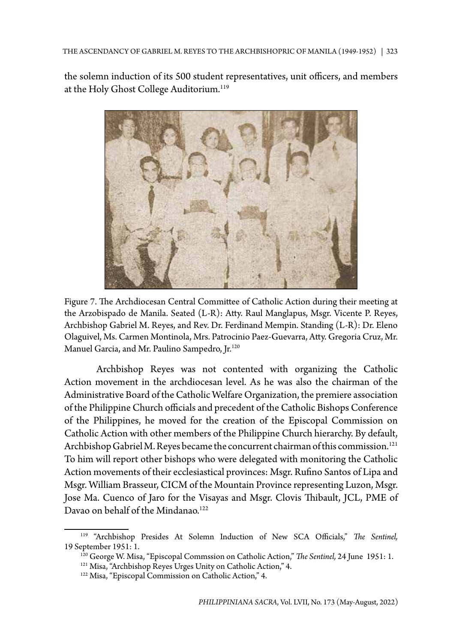the solemn induction of its 500 student representatives, unit officers, and members at the Holy Ghost College Auditorium.<sup>119</sup>



Figure 7. The Archdiocesan Central Committee of Catholic Action during their meeting at the Arzobispado de Manila. Seated (L-R): Atty. Raul Manglapus, Msgr. Vicente P. Reyes, Archbishop Gabriel M. Reyes, and Rev. Dr. Ferdinand Mempin. Standing (L-R): Dr. Eleno Olaguivel, Ms. Carmen Montinola, Mrs. Patrocinio Paez-Guevarra, Atty. Gregoria Cruz, Mr. Manuel Garcia, and Mr. Paulino Sampedro, Jr.<sup>120</sup>

Archbishop Reyes was not contented with organizing the Catholic Action movement in the archdiocesan level. As he was also the chairman of the Administrative Board of the Catholic Welfare Organization, the premiere association of the Philippine Church officials and precedent of the Catholic Bishops Conference of the Philippines, he moved for the creation of the Episcopal Commission on Catholic Action with other members of the Philippine Church hierarchy. By default, Archbishop Gabriel M. Reyes became the concurrent chairman of this commission.<sup>121</sup> To him will report other bishops who were delegated with monitoring the Catholic Action movements of their ecclesiastical provinces: Msgr. Rufino Santos of Lipa and Msgr. William Brasseur, CICM of the Mountain Province representing Luzon, Msgr. Jose Ma. Cuenco of Jaro for the Visayas and Msgr. Clovis Thibault, JCL, PME of Davao on behalf of the Mindanao.<sup>122</sup>

<sup>119 &</sup>quot;Archbishop Presides At Solemn Induction of New SCA Officials," *The Sentinel,* 19 September 1951: 1.

<sup>120</sup> George W. Misa, "Episcopal Commssion on Catholic Action," *The Sentinel,* 24 June 1951: 1.

<sup>&</sup>lt;sup>121</sup> Misa, "Archbishop Reyes Urges Unity on Catholic Action," 4.

<sup>&</sup>lt;sup>122</sup> Misa, "Episcopal Commission on Catholic Action," 4.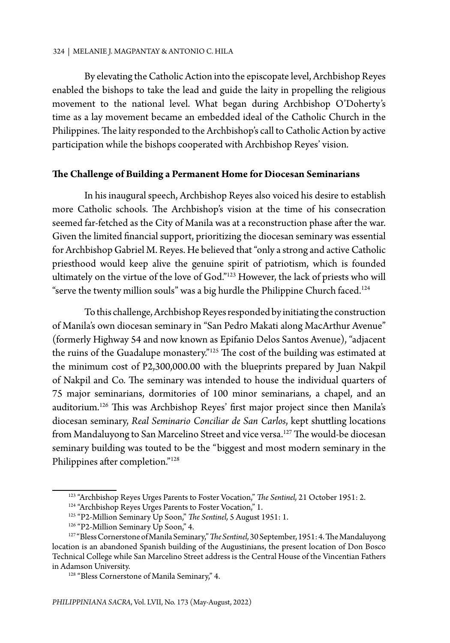By elevating the Catholic Action into the episcopate level, Archbishop Reyes enabled the bishops to take the lead and guide the laity in propelling the religious movement to the national level. What began during Archbishop O'Doherty's time as a lay movement became an embedded ideal of the Catholic Church in the Philippines. The laity responded to the Archbishop's call to Catholic Action by active participation while the bishops cooperated with Archbishop Reyes' vision.

## **The Challenge of Building a Permanent Home for Diocesan Seminarians**

In his inaugural speech, Archbishop Reyes also voiced his desire to establish more Catholic schools. The Archbishop's vision at the time of his consecration seemed far-fetched as the City of Manila was at a reconstruction phase after the war. Given the limited financial support, prioritizing the diocesan seminary was essential for Archbishop Gabriel M. Reyes. He believed that "only a strong and active Catholic priesthood would keep alive the genuine spirit of patriotism, which is founded ultimately on the virtue of the love of God."123 However, the lack of priests who will "serve the twenty million souls" was a big hurdle the Philippine Church faced.<sup>124</sup>

To this challenge, Archbishop Reyes responded by initiating the construction of Manila's own diocesan seminary in "San Pedro Makati along MacArthur Avenue" (formerly Highway 54 and now known as Epifanio Delos Santos Avenue), "adjacent the ruins of the Guadalupe monastery."125 The cost of the building was estimated at the minimum cost of P2,300,000.00 with the blueprints prepared by Juan Nakpil of Nakpil and Co. The seminary was intended to house the individual quarters of 75 major seminarians, dormitories of 100 minor seminarians, a chapel, and an auditorium.<sup>126</sup> This was Archbishop Reyes' first major project since then Manila's diocesan seminary, *Real Seminario Conciliar de San Carlos*, kept shuttling locations from Mandaluyong to San Marcelino Street and vice versa.<sup>127</sup> The would-be diocesan seminary building was touted to be the "biggest and most modern seminary in the Philippines after completion."128

<sup>123 &</sup>quot;Archbishop Reyes Urges Parents to Foster Vocation," *The Sentinel,* 21 October 1951: 2.

<sup>&</sup>lt;sup>124</sup> "Archbishop Reyes Urges Parents to Foster Vocation," 1.

<sup>125 &</sup>quot;P2-Million Seminary Up Soon," *The Sentinel,* 5 August 1951: 1.

<sup>&</sup>lt;sup>126</sup> "P2-Million Seminary Up Soon," 4.

<sup>127 &</sup>quot;Bless Cornerstone of Manila Seminary," *The Sentinel,* 30 September, 1951: 4. The Mandaluyong location is an abandoned Spanish building of the Augustinians, the present location of Don Bosco Technical College while San Marcelino Street address is the Central House of the Vincentian Fathers in Adamson University.

<sup>&</sup>lt;sup>128</sup> "Bless Cornerstone of Manila Seminary," 4.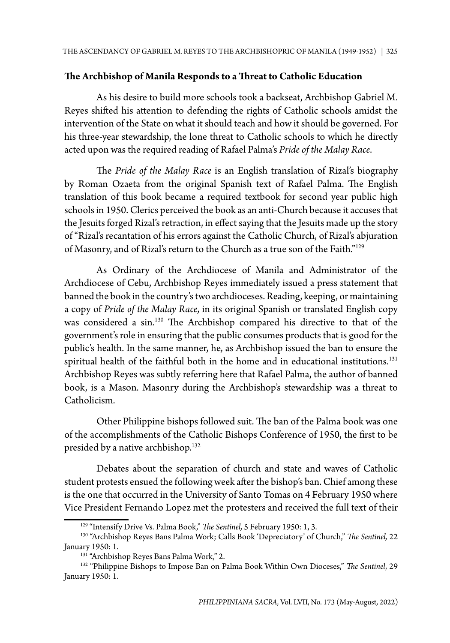## **The Archbishop of Manila Responds to a Threat to Catholic Education**

As his desire to build more schools took a backseat, Archbishop Gabriel M. Reyes shifted his attention to defending the rights of Catholic schools amidst the intervention of the State on what it should teach and how it should be governed. For his three-year stewardship, the lone threat to Catholic schools to which he directly acted upon was the required reading of Rafael Palma's *Pride of the Malay Race*.

The *Pride of the Malay Race* is an English translation of Rizal's biography by Roman Ozaeta from the original Spanish text of Rafael Palma. The English translation of this book became a required textbook for second year public high schools in 1950. Clerics perceived the book as an anti-Church because it accuses that the Jesuits forged Rizal's retraction, in effect saying that the Jesuits made up the story of "Rizal's recantation of his errors against the Catholic Church, of Rizal's abjuration of Masonry, and of Rizal's return to the Church as a true son of the Faith."129

As Ordinary of the Archdiocese of Manila and Administrator of the Archdiocese of Cebu, Archbishop Reyes immediately issued a press statement that banned the book in the country's two archdioceses. Reading, keeping, or maintaining a copy of *Pride of the Malay Race*, in its original Spanish or translated English copy was considered a sin.130 The Archbishop compared his directive to that of the government's role in ensuring that the public consumes products that is good for the public's health. In the same manner, he, as Archbishop issued the ban to ensure the spiritual health of the faithful both in the home and in educational institutions.<sup>131</sup> Archbishop Reyes was subtly referring here that Rafael Palma, the author of banned book, is a Mason. Masonry during the Archbishop's stewardship was a threat to Catholicism.

Other Philippine bishops followed suit. The ban of the Palma book was one of the accomplishments of the Catholic Bishops Conference of 1950, the first to be presided by a native archbishop.<sup>132</sup>

Debates about the separation of church and state and waves of Catholic student protests ensued the following week after the bishop's ban. Chief among these is the one that occurred in the University of Santo Tomas on 4 February 1950 where Vice President Fernando Lopez met the protesters and received the full text of their

<sup>129 &</sup>quot;Intensify Drive Vs. Palma Book," *The Sentinel,* 5 February 1950: 1, 3.

<sup>130 &</sup>quot;Archbishop Reyes Bans Palma Work; Calls Book 'Depreciatory' of Church," *The Sentinel,* 22 January 1950: 1.

<sup>&</sup>lt;sup>131</sup> "Archbishop Reyes Bans Palma Work," 2.

<sup>132 &</sup>quot;Philippine Bishops to Impose Ban on Palma Book Within Own Dioceses," *The Sentinel*, 29 January 1950: 1.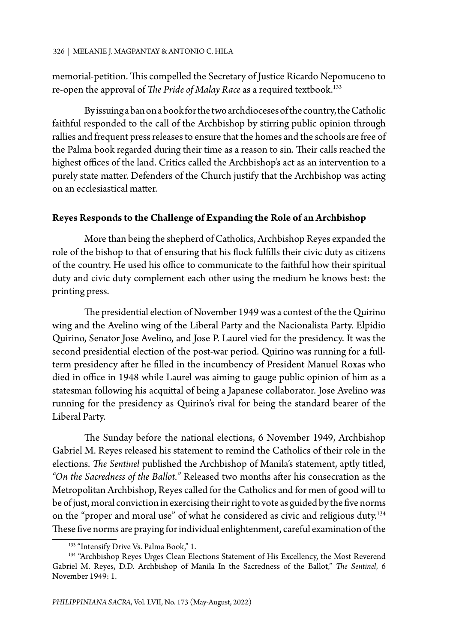memorial-petition. This compelled the Secretary of Justice Ricardo Nepomuceno to re-open the approval of *The Pride of Malay Race* as a required textbook.<sup>133</sup>

By issuing a ban on a book for the two archdioceses of the country, the Catholic faithful responded to the call of the Archbishop by stirring public opinion through rallies and frequent press releases to ensure that the homes and the schools are free of the Palma book regarded during their time as a reason to sin. Their calls reached the highest offices of the land. Critics called the Archbishop's act as an intervention to a purely state matter. Defenders of the Church justify that the Archbishop was acting on an ecclesiastical matter.

# **Reyes Responds to the Challenge of Expanding the Role of an Archbishop**

More than being the shepherd of Catholics, Archbishop Reyes expanded the role of the bishop to that of ensuring that his flock fulfills their civic duty as citizens of the country. He used his office to communicate to the faithful how their spiritual duty and civic duty complement each other using the medium he knows best: the printing press.

The presidential election of November 1949 was a contest of the the Quirino wing and the Avelino wing of the Liberal Party and the Nacionalista Party. Elpidio Quirino, Senator Jose Avelino, and Jose P. Laurel vied for the presidency. It was the second presidential election of the post-war period. Quirino was running for a fullterm presidency after he filled in the incumbency of President Manuel Roxas who died in office in 1948 while Laurel was aiming to gauge public opinion of him as a statesman following his acquittal of being a Japanese collaborator. Jose Avelino was running for the presidency as Quirino's rival for being the standard bearer of the Liberal Party.

The Sunday before the national elections, 6 November 1949, Archbishop Gabriel M. Reyes released his statement to remind the Catholics of their role in the elections. *The Sentinel* published the Archbishop of Manila's statement, aptly titled, *"On the Sacredness of the Ballot."* Released two months after his consecration as the Metropolitan Archbishop, Reyes called for the Catholics and for men of good will to be of just, moral conviction in exercising their right to vote as guided by the five norms on the "proper and moral use" of what he considered as civic and religious duty.<sup>134</sup> These five norms are praying for individual enlightenment, careful examination of the

<sup>&</sup>lt;sup>133</sup> "Intensify Drive Vs. Palma Book," 1.

<sup>&</sup>lt;sup>134</sup> "Archbishop Reyes Urges Clean Elections Statement of His Excellency, the Most Reverend Gabriel M. Reyes, D.D. Archbishop of Manila In the Sacredness of the Ballot," *The Sentinel*, 6 November 1949: 1.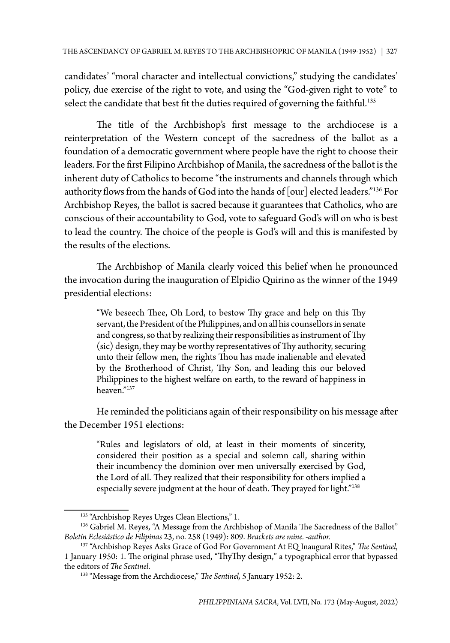candidates' "moral character and intellectual convictions," studying the candidates' policy, due exercise of the right to vote, and using the "God-given right to vote" to select the candidate that best fit the duties required of governing the faithful.<sup>135</sup>

The title of the Archbishop's first message to the archdiocese is a reinterpretation of the Western concept of the sacredness of the ballot as a foundation of a democratic government where people have the right to choose their leaders. For the first Filipino Archbishop of Manila, the sacredness of the ballot is the inherent duty of Catholics to become "the instruments and channels through which authority flows from the hands of God into the hands of [our] elected leaders."136 For Archbishop Reyes, the ballot is sacred because it guarantees that Catholics, who are conscious of their accountability to God, vote to safeguard God's will on who is best to lead the country. The choice of the people is God's will and this is manifested by the results of the elections.

The Archbishop of Manila clearly voiced this belief when he pronounced the invocation during the inauguration of Elpidio Quirino as the winner of the 1949 presidential elections:

"We beseech Thee, Oh Lord, to bestow Thy grace and help on this Thy servant, the President of the Philippines, and on all his counsellors in senate and congress, so that by realizing their responsibilities as instrument of Thy (sic) design, they may be worthy representatives of Thy authority, securing unto their fellow men, the rights Thou has made inalienable and elevated by the Brotherhood of Christ, Thy Son, and leading this our beloved Philippines to the highest welfare on earth, to the reward of happiness in heaven."137

He reminded the politicians again of their responsibility on his message after the December 1951 elections:

"Rules and legislators of old, at least in their moments of sincerity, considered their position as a special and solemn call, sharing within their incumbency the dominion over men universally exercised by God, the Lord of all. They realized that their responsibility for others implied a especially severe judgment at the hour of death. They prayed for light."<sup>138</sup>

<sup>&</sup>lt;sup>135</sup> "Archbishop Reyes Urges Clean Elections," 1.

<sup>&</sup>lt;sup>136</sup> Gabriel M. Reyes, "A Message from the Archbishop of Manila The Sacredness of the Ballot" *Boletín Eclesiástico de Filipinas* 23, no. 258 (1949): 809. *Brackets are mine. -author.*

<sup>137 &</sup>quot;Archbishop Reyes Asks Grace of God For Government At EQ Inaugural Rites," *The Sentinel*, 1 January 1950: 1. The original phrase used, "ThyThy design," a typographical error that bypassed the editors of *The Sentinel*.

<sup>138 &</sup>quot;Message from the Archdiocese," *The Sentinel,* 5 January 1952: 2.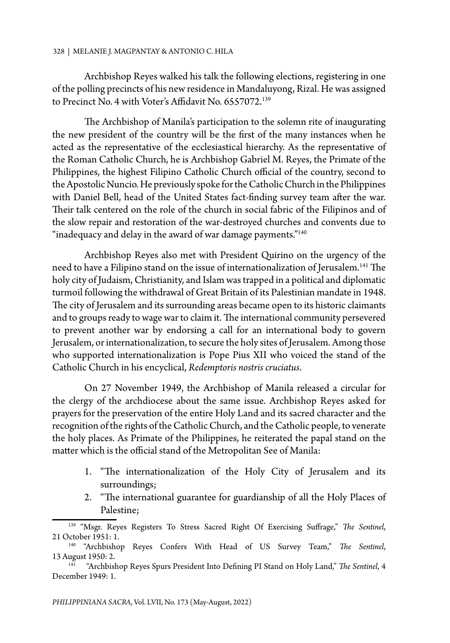Archbishop Reyes walked his talk the following elections, registering in one of the polling precincts of his new residence in Mandaluyong, Rizal. He was assigned to Precinct No. 4 with Voter's Affidavit No. 6557072.139

The Archbishop of Manila's participation to the solemn rite of inaugurating the new president of the country will be the first of the many instances when he acted as the representative of the ecclesiastical hierarchy. As the representative of the Roman Catholic Church, he is Archbishop Gabriel M. Reyes, the Primate of the Philippines, the highest Filipino Catholic Church official of the country, second to the Apostolic Nuncio. He previously spoke for the Catholic Church in the Philippines with Daniel Bell, head of the United States fact-finding survey team after the war. Their talk centered on the role of the church in social fabric of the Filipinos and of the slow repair and restoration of the war-destroyed churches and convents due to "inadequacy and delay in the award of war damage payments." $140$ 

Archbishop Reyes also met with President Quirino on the urgency of the need to have a Filipino stand on the issue of internationalization of Jerusalem.<sup>141</sup> The holy city of Judaism, Christianity, and Islam was trapped in a political and diplomatic turmoil following the withdrawal of Great Britain of its Palestinian mandate in 1948. The city of Jerusalem and its surrounding areas became open to its historic claimants and to groups ready to wage war to claim it. The international community persevered to prevent another war by endorsing a call for an international body to govern Jerusalem, or internationalization, to secure the holy sites of Jerusalem. Among those who supported internationalization is Pope Pius XII who voiced the stand of the Catholic Church in his encyclical, *Redemptoris nostris cruciatus*.

On 27 November 1949, the Archbishop of Manila released a circular for the clergy of the archdiocese about the same issue. Archbishop Reyes asked for prayers for the preservation of the entire Holy Land and its sacred character and the recognition of the rights of the Catholic Church, and the Catholic people, to venerate the holy places. As Primate of the Philippines, he reiterated the papal stand on the matter which is the official stand of the Metropolitan See of Manila:

- 1. "The internationalization of the Holy City of Jerusalem and its surroundings;
- 2. "The international guarantee for guardianship of all the Holy Places of Palestine;

<sup>139 &</sup>quot;Msgr. Reyes Registers To Stress Sacred Right Of Exercising Suffrage," *The Sentinel*, 21 October 1951: 1.

<sup>140 &</sup>quot;Archbishop Reyes Confers With Head of US Survey Team," *The Sentinel*, 13 August 1950: 2.

<sup>141 &</sup>quot;Archbishop Reyes Spurs President Into Defining PI Stand on Holy Land," *The Sentinel*, 4 December 1949: 1.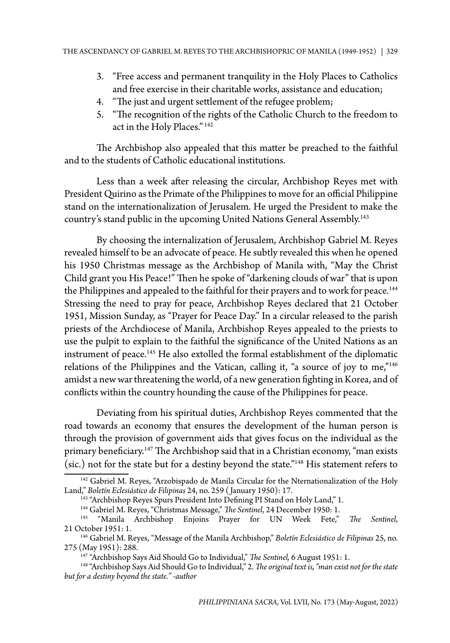- 3. "Free access and permanent tranquility in the Holy Places to Catholics and free exercise in their charitable works, assistance and education;
- 4. "The just and urgent settlement of the refugee problem;
- 5. "The recognition of the rights of the Catholic Church to the freedom to act in the Holy Places." 142

The Archbishop also appealed that this matter be preached to the faithful and to the students of Catholic educational institutions.

Less than a week after releasing the circular, Archbishop Reyes met with President Quirino as the Primate of the Philippines to move for an official Philippine stand on the internationalization of Jerusalem. He urged the President to make the country's stand public in the upcoming United Nations General Assembly.<sup>143</sup>

By choosing the internalization of Jerusalem, Archbishop Gabriel M. Reyes revealed himself to be an advocate of peace. He subtly revealed this when he opened his 1950 Christmas message as the Archbishop of Manila with, "May the Christ Child grant you His Peace!" Then he spoke of "darkening clouds of war" that is upon the Philippines and appealed to the faithful for their prayers and to work for peace.<sup>144</sup> Stressing the need to pray for peace, Archbishop Reyes declared that 21 October 1951, Mission Sunday, as "Prayer for Peace Day." In a circular released to the parish priests of the Archdiocese of Manila, Archbishop Reyes appealed to the priests to use the pulpit to explain to the faithful the significance of the United Nations as an instrument of peace.145 He also extolled the formal establishment of the diplomatic relations of the Philippines and the Vatican, calling it, "a source of joy to me,"<sup>146</sup> amidst a new war threatening the world, of a new generation fighting in Korea, and of conflicts within the country hounding the cause of the Philippines for peace.

Deviating from his spiritual duties, Archbishop Reyes commented that the road towards an economy that ensures the development of the human person is through the provision of government aids that gives focus on the individual as the primary beneficiary.<sup>147</sup> The Archbishop said that in a Christian economy, "man exists (sic.) not for the state but for a destiny beyond the state."148 His statement refers to

<sup>144</sup> Gabriel M. Reyes, "Christmas Message," The Sentinel, 24 December 1950: 1.

<sup>&</sup>lt;sup>142</sup> Gabriel M. Reyes, "Arzobispado de Manila Circular for the Nternationalization of the Holy Land," *Boletín Eclesiástico de Filipinas* 24, no. 259 ( January 1950): 17.

<sup>&</sup>lt;sup>143</sup> "Archbishop Reyes Spurs President Into Defining PI Stand on Holy Land," 1.

<sup>145 &</sup>quot;Manila Archbishop Enjoins Prayer for UN Week Fete," *The Sentinel*, 21 October 1951: 1.

<sup>146</sup> Gabriel M. Reyes, "Message of the Manila Archbishop," *Boletín Eclesiástico de Filipinas* 25, no. 275 (May 1951): 288.<br><sup>147</sup> "Archbishop Says Aid Should Go to Individual," *The Sentinel, 6 August 1951: 1*.

<sup>&</sup>lt;sup>148</sup> "Archbishop Says Aid Should Go to Individual," 2. The original text is, "man exist not for the state *but for a destiny beyond the state." -author*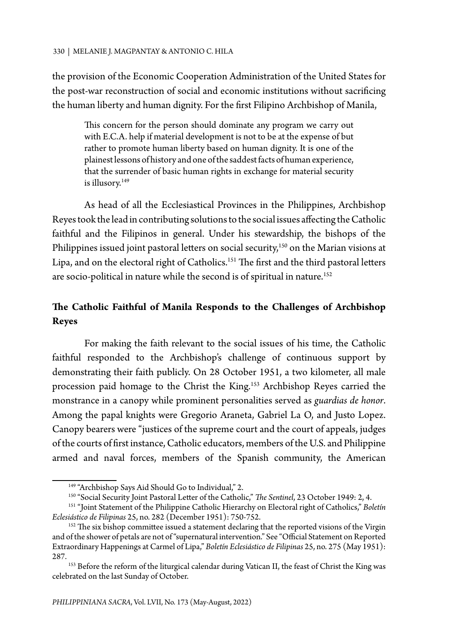the provision of the Economic Cooperation Administration of the United States for the post-war reconstruction of social and economic institutions without sacrificing the human liberty and human dignity. For the first Filipino Archbishop of Manila,

This concern for the person should dominate any program we carry out with E.C.A. help if material development is not to be at the expense of but rather to promote human liberty based on human dignity. It is one of the plainest lessons of history and one of the saddest facts of human experience, that the surrender of basic human rights in exchange for material security is illusory.<sup>149</sup>

As head of all the Ecclesiastical Provinces in the Philippines, Archbishop Reyes took the lead in contributing solutions to the social issues affecting the Catholic faithful and the Filipinos in general. Under his stewardship, the bishops of the Philippines issued joint pastoral letters on social security,<sup>150</sup> on the Marian visions at Lipa, and on the electoral right of Catholics.<sup>151</sup> The first and the third pastoral letters are socio-political in nature while the second is of spiritual in nature.<sup>152</sup>

# **The Catholic Faithful of Manila Responds to the Challenges of Archbishop Reyes**

For making the faith relevant to the social issues of his time, the Catholic faithful responded to the Archbishop's challenge of continuous support by demonstrating their faith publicly. On 28 October 1951, a two kilometer, all male procession paid homage to the Christ the King.153 Archbishop Reyes carried the monstrance in a canopy while prominent personalities served as *guardias de honor*. Among the papal knights were Gregorio Araneta, Gabriel La O, and Justo Lopez. Canopy bearers were "justices of the supreme court and the court of appeals, judges of the courts of first instance, Catholic educators, members of the U.S. and Philippine armed and naval forces, members of the Spanish community, the American

<sup>&</sup>lt;sup>149</sup> "Archbishop Says Aid Should Go to Individual," 2.

<sup>150 &</sup>quot;Social Security Joint Pastoral Letter of the Catholic," *The Sentinel*, 23 October 1949: 2, 4. 151 "Joint Statement of the Philippine Catholic Hierarchy on Electoral right of Catholics," *Boletín* 

*Eclesiástico de Filipinas* 25, no. 282 (December 1951): 750-752.

<sup>&</sup>lt;sup>152</sup> The six bishop committee issued a statement declaring that the reported visions of the Virgin and of the shower of petals are not of "supernatural intervention." See "Official Statement on Reported Extraordinary Happenings at Carmel of Lipa," *Boletín Eclesiástico de Filipinas* 25, no. 275 (May 1951): 287.

<sup>&</sup>lt;sup>153</sup> Before the reform of the liturgical calendar during Vatican II, the feast of Christ the King was celebrated on the last Sunday of October.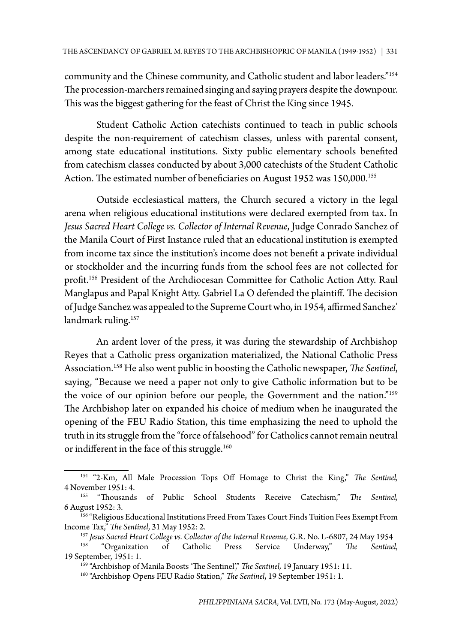community and the Chinese community, and Catholic student and labor leaders."154 The procession-marchers remained singing and saying prayers despite the downpour. This was the biggest gathering for the feast of Christ the King since 1945.

Student Catholic Action catechists continued to teach in public schools despite the non-requirement of catechism classes, unless with parental consent, among state educational institutions. Sixty public elementary schools benefited from catechism classes conducted by about 3,000 catechists of the Student Catholic Action. The estimated number of beneficiaries on August 1952 was 150,000.<sup>155</sup>

Outside ecclesiastical matters, the Church secured a victory in the legal arena when religious educational institutions were declared exempted from tax. In *Jesus Sacred Heart College vs. Collector of Internal Revenue*, Judge Conrado Sanchez of the Manila Court of First Instance ruled that an educational institution is exempted from income tax since the institution's income does not benefit a private individual or stockholder and the incurring funds from the school fees are not collected for profit.156 President of the Archdiocesan Committee for Catholic Action Atty. Raul Manglapus and Papal Knight Atty. Gabriel La O defended the plaintiff. The decision of Judge Sanchez was appealed to the Supreme Court who, in 1954, affirmed Sanchez' landmark ruling.<sup>157</sup>

An ardent lover of the press, it was during the stewardship of Archbishop Reyes that a Catholic press organization materialized, the National Catholic Press Association.158 He also went public in boosting the Catholic newspaper, *The Sentinel*, saying, "Because we need a paper not only to give Catholic information but to be the voice of our opinion before our people, the Government and the nation."159 The Archbishop later on expanded his choice of medium when he inaugurated the opening of the FEU Radio Station, this time emphasizing the need to uphold the truth in its struggle from the "force of falsehood" for Catholics cannot remain neutral or indifferent in the face of this struggle.<sup>160</sup>

<sup>154 &</sup>quot;2-Km, All Male Procession Tops Off Homage to Christ the King," *The Sentinel,* 4 November 1951: 4.

<sup>155 &</sup>quot;Thousands of Public School Students Receive Catechism," *The Sentinel,* 6 August 1952: 3.

<sup>156 &</sup>quot;Religious Educational Institutions Freed From Taxes Court Finds Tuition Fees Exempt From Income Tax," *The Sentinel*, 31 May 1952: 2.

<sup>&</sup>lt;sup>157</sup> *Jesus Sacred Heart College vs. Collector of the Internal Revenue, G.R. No. L-6807, 24 May 1954*<br><sup>158</sup> "Organization of Catholic Press Service Underway," *The Sentinel,*<br>19 September, 1951: 1.

<sup>&</sup>lt;sup>159</sup> "Archbishop of Manila Boosts 'The Sentinel'," *The Sentinel*, 19 January 1951: 11.

<sup>160 &</sup>quot;Archbishop Opens FEU Radio Station," *The Sentinel*, 19 September 1951: 1.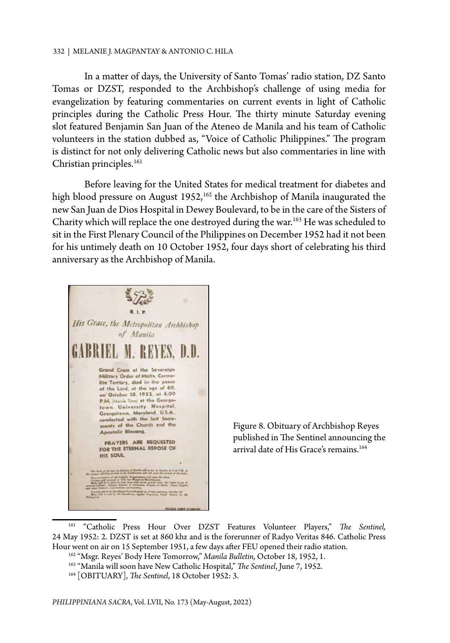In a matter of days, the University of Santo Tomas' radio station, DZ Santo Tomas or DZST, responded to the Archbishop's challenge of using media for evangelization by featuring commentaries on current events in light of Catholic principles during the Catholic Press Hour. The thirty minute Saturday evening slot featured Benjamin San Juan of the Ateneo de Manila and his team of Catholic volunteers in the station dubbed as, "Voice of Catholic Philippines." The program is distinct for not only delivering Catholic news but also commentaries in line with Christian principles. $161$ 

Before leaving for the United States for medical treatment for diabetes and high blood pressure on August 1952,<sup>162</sup> the Archbishop of Manila inaugurated the new San Juan de Dios Hospital in Dewey Boulevard, to be in the care of the Sisters of Charity which will replace the one destroyed during the war.163 He was scheduled to sit in the First Plenary Council of the Philippines on December 1952 had it not been for his untimely death on 10 October 1952, four days short of celebrating his third anniversary as the Archbishop of Manila.



Figure 8. Obituary of Archbishop Reyes published in The Sentinel announcing the arrival date of His Grace's remains.<sup>164</sup>

<sup>161 &</sup>quot;Catholic Press Hour Over DZST Features Volunteer Players," *The Sentinel,* 24 May 1952: 2. DZST is set at 860 khz and is the forerunner of Radyo Veritas 846. Catholic Press Hour went on air on 15 September 1951, a few days after FEU opened their radio station.

<sup>162 &</sup>quot;Msgr. Reyes' Body Here Tomorrow," *Manila Bulletin,* October 18, 1952, 1.

<sup>&</sup>lt;sup>163</sup> "Manila will soon have New Catholic Hospital," *The Sentinel*, June 7, 1952.<br><sup>164</sup> [OBITUARY], *The Sentinel*, 18 October 1952: 3.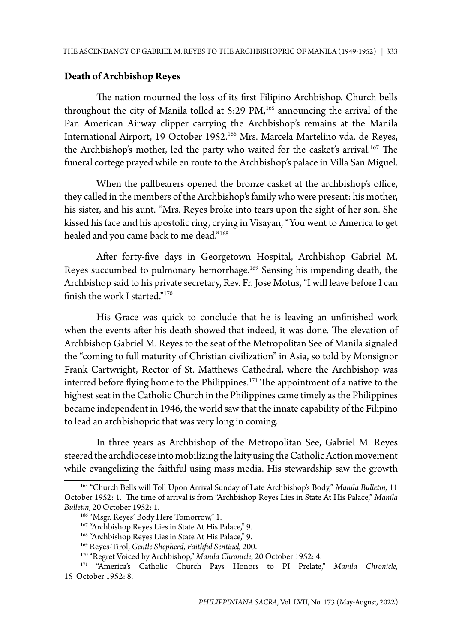## **Death of Archbishop Reyes**

The nation mourned the loss of its first Filipino Archbishop. Church bells throughout the city of Manila tolled at  $5:29 \text{ PM}$ ,<sup>165</sup> announcing the arrival of the Pan American Airway clipper carrying the Archbishop's remains at the Manila International Airport, 19 October 1952.<sup>166</sup> Mrs. Marcela Martelino vda. de Reyes, the Archbishop's mother, led the party who waited for the casket's arrival.<sup>167</sup> The funeral cortege prayed while en route to the Archbishop's palace in Villa San Miguel.

When the pallbearers opened the bronze casket at the archbishop's office, they called in the members of the Archbishop's family who were present: his mother, his sister, and his aunt. "Mrs. Reyes broke into tears upon the sight of her son. She kissed his face and his apostolic ring, crying in Visayan, "You went to America to get healed and you came back to me dead."<sup>168</sup>

After forty-five days in Georgetown Hospital, Archbishop Gabriel M. Reyes succumbed to pulmonary hemorrhage.169 Sensing his impending death, the Archbishop said to his private secretary, Rev. Fr. Jose Motus, "I will leave before I can finish the work I started."170

His Grace was quick to conclude that he is leaving an unfinished work when the events after his death showed that indeed, it was done. The elevation of Archbishop Gabriel M. Reyes to the seat of the Metropolitan See of Manila signaled the "coming to full maturity of Christian civilization" in Asia, so told by Monsignor Frank Cartwright, Rector of St. Matthews Cathedral, where the Archbishop was interred before flying home to the Philippines.<sup>171</sup> The appointment of a native to the highest seat in the Catholic Church in the Philippines came timely as the Philippines became independent in 1946, the world saw that the innate capability of the Filipino to lead an archbishopric that was very long in coming.

In three years as Archbishop of the Metropolitan See, Gabriel M. Reyes steered the archdiocese into mobilizing the laity using the Catholic Action movement while evangelizing the faithful using mass media. His stewardship saw the growth

<sup>165 &</sup>quot;Church Bells will Toll Upon Arrival Sunday of Late Archbishop's Body," *Manila Bulletin,* 11 October 1952: 1. The time of arrival is from "Archbishop Reyes Lies in State At His Palace," *Manila Bulletin,* 20 October 1952: 1.

<sup>&</sup>lt;sup>166</sup> "Msgr. Reyes' Body Here Tomorrow," 1.

<sup>&</sup>lt;sup>167</sup> "Archbishop Reyes Lies in State At His Palace," 9.

<sup>&</sup>lt;sup>168</sup> "Archbishop Reyes Lies in State At His Palace," 9.

<sup>169</sup> Reyes-Tirol, *Gentle Shepherd, Faithful Sentinel,* 200.

<sup>170 &</sup>quot;Regret Voiced by Archbishop," *Manila Chronicle,* 20 October 1952: 4.

<sup>171 &</sup>quot;America's Catholic Church Pays Honors to PI Prelate," *Manila Chronicle,* 15 October 1952: 8.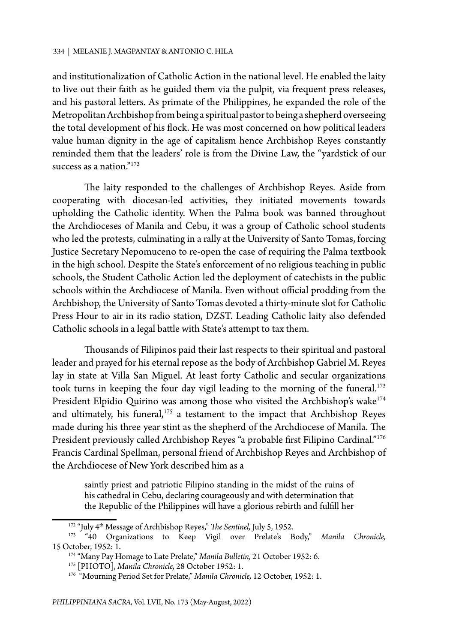and institutionalization of Catholic Action in the national level. He enabled the laity to live out their faith as he guided them via the pulpit, via frequent press releases, and his pastoral letters. As primate of the Philippines, he expanded the role of the Metropolitan Archbishop from being a spiritual pastor to being a shepherd overseeing the total development of his flock. He was most concerned on how political leaders value human dignity in the age of capitalism hence Archbishop Reyes constantly reminded them that the leaders' role is from the Divine Law, the "yardstick of our success as a nation."<sup>172</sup>

The laity responded to the challenges of Archbishop Reyes. Aside from cooperating with diocesan-led activities, they initiated movements towards upholding the Catholic identity. When the Palma book was banned throughout the Archdioceses of Manila and Cebu, it was a group of Catholic school students who led the protests, culminating in a rally at the University of Santo Tomas, forcing Justice Secretary Nepomuceno to re-open the case of requiring the Palma textbook in the high school. Despite the State's enforcement of no religious teaching in public schools, the Student Catholic Action led the deployment of catechists in the public schools within the Archdiocese of Manila. Even without official prodding from the Archbishop, the University of Santo Tomas devoted a thirty-minute slot for Catholic Press Hour to air in its radio station, DZST. Leading Catholic laity also defended Catholic schools in a legal battle with State's attempt to tax them.

Thousands of Filipinos paid their last respects to their spiritual and pastoral leader and prayed for his eternal repose as the body of Archbishop Gabriel M. Reyes lay in state at Villa San Miguel. At least forty Catholic and secular organizations took turns in keeping the four day vigil leading to the morning of the funeral.<sup>173</sup> President Elpidio Quirino was among those who visited the Archbishop's wake<sup>174</sup> and ultimately, his funeral, $175$  a testament to the impact that Archbishop Reyes made during his three year stint as the shepherd of the Archdiocese of Manila. The President previously called Archbishop Reyes "a probable first Filipino Cardinal."176 Francis Cardinal Spellman, personal friend of Archbishop Reyes and Archbishop of the Archdiocese of New York described him as a

saintly priest and patriotic Filipino standing in the midst of the ruins of his cathedral in Cebu, declaring courageously and with determination that the Republic of the Philippines will have a glorious rebirth and fulfill her

<sup>172 &</sup>quot;July 4th Message of Archbishop Reyes," *The Sentinel,* July 5, 1952. 173 "40 Organizations to Keep Vigil over Prelate's Body," *Manila Chronicle,* 15 October, 1952: 1.

<sup>174 &</sup>quot;Many Pay Homage to Late Prelate," *Manila Bulletin,* 21 October 1952: 6.

<sup>175 [</sup>PHOTO], *Manila Chronicle,* 28 October 1952: 1.

<sup>176 &</sup>quot;Mourning Period Set for Prelate," *Manila Chronicle,* 12 October, 1952: 1.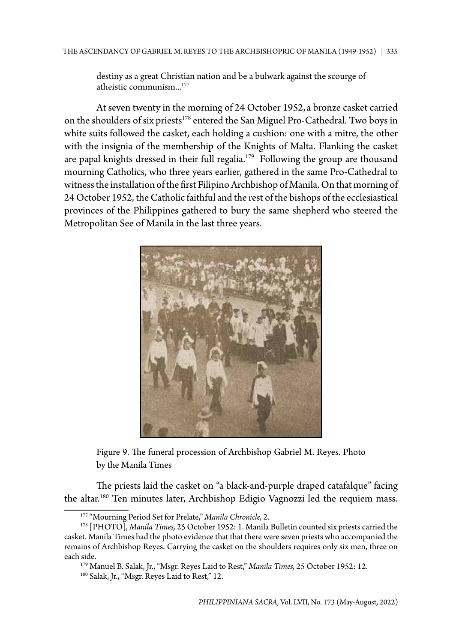destiny as a great Christian nation and be a bulwark against the scourge of atheistic communism...177

At seven twenty in the morning of 24 October 1952, a bronze casket carried on the shoulders of six priests<sup>178</sup> entered the San Miguel Pro-Cathedral. Two boys in white suits followed the casket, each holding a cushion: one with a mitre, the other with the insignia of the membership of the Knights of Malta. Flanking the casket are papal knights dressed in their full regalia.<sup>179</sup> Following the group are thousand mourning Catholics, who three years earlier, gathered in the same Pro-Cathedral to witness the installation of the first Filipino Archbishop of Manila. On that morning of 24 October 1952, the Catholic faithful and the rest of the bishops of the ecclesiastical provinces of the Philippines gathered to bury the same shepherd who steered the Metropolitan See of Manila in the last three years.



Figure 9. The funeral procession of Archbishop Gabriel M. Reyes. Photo by the Manila Times

The priests laid the casket on "a black-and-purple draped catafalque" facing the altar.<sup>180</sup> Ten minutes later, Archbishop Edigio Vagnozzi led the requiem mass.

<sup>177 &</sup>quot;Mourning Period Set for Prelate," *Manila Chronicle,* 2.

<sup>178 [</sup>PHOTO], *Manila Times,* 25 October 1952: 1. Manila Bulletin counted six priests carried the casket. Manila Times had the photo evidence that that there were seven priests who accompanied the remains of Archbishop Reyes. Carrying the casket on the shoulders requires only six men, three on each side.

<sup>179</sup> Manuel B. Salak, Jr., "Msgr. Reyes Laid to Rest," *Manila Times,* 25 October 1952: 12.

<sup>&</sup>lt;sup>180</sup> Salak, Jr., "Msgr. Reyes Laid to Rest," 12.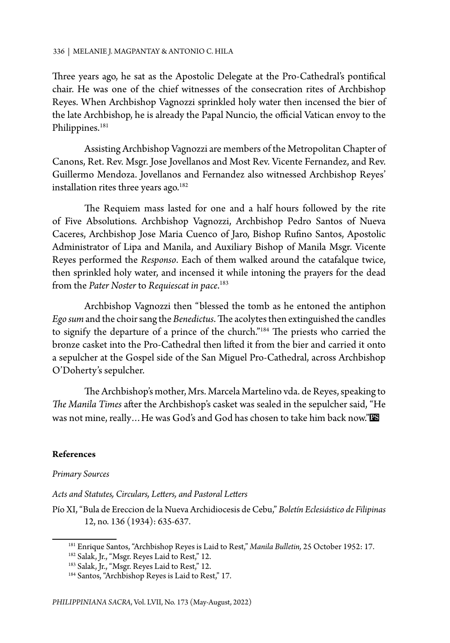Three years ago, he sat as the Apostolic Delegate at the Pro-Cathedral's pontifical chair. He was one of the chief witnesses of the consecration rites of Archbishop Reyes. When Archbishop Vagnozzi sprinkled holy water then incensed the bier of the late Archbishop, he is already the Papal Nuncio, the official Vatican envoy to the Philippines.<sup>181</sup>

Assisting Archbishop Vagnozzi are members of the Metropolitan Chapter of Canons, Ret. Rev. Msgr. Jose Jovellanos and Most Rev. Vicente Fernandez, and Rev. Guillermo Mendoza. Jovellanos and Fernandez also witnessed Archbishop Reyes' installation rites three years ago.<sup>182</sup>

The Requiem mass lasted for one and a half hours followed by the rite of Five Absolutions. Archbishop Vagnozzi, Archbishop Pedro Santos of Nueva Caceres, Archbishop Jose Maria Cuenco of Jaro, Bishop Rufino Santos, Apostolic Administrator of Lipa and Manila, and Auxiliary Bishop of Manila Msgr. Vicente Reyes performed the *Responso*. Each of them walked around the catafalque twice, then sprinkled holy water, and incensed it while intoning the prayers for the dead from the *Pater Noster* to *Requiescat in pace*. 183

Archbishop Vagnozzi then "blessed the tomb as he entoned the antiphon *Ego sum* and the choir sang the *Benedictus*. The acolytes then extinguished the candles to signify the departure of a prince of the church."184 The priests who carried the bronze casket into the Pro-Cathedral then lifted it from the bier and carried it onto a sepulcher at the Gospel side of the San Miguel Pro-Cathedral, across Archbishop O'Doherty's sepulcher.

The Archbishop's mother, Mrs. Marcela Martelino vda. de Reyes, speaking to *The Manila Times* after the Archbishop's casket was sealed in the sepulcher said, "He was not mine, really... He was God's and God has chosen to take him back now."

## **References**

#### *Primary Sources*

*Acts and Statutes, Circulars, Letters, and Pastoral Letters*

Pío XI, "Bula de Ereccion de la Nueva Archidiocesis de Cebu," *Boletín Eclesiástico de Filipinas* 12, no. 136 (1934): 635-637.

<sup>181</sup> Enrique Santos, "Archbishop Reyes is Laid to Rest," *Manila Bulletin,* 25 October 1952: 17.

<sup>&</sup>lt;sup>182</sup> Salak, Jr., "Msgr. Reyes Laid to Rest," 12.

<sup>&</sup>lt;sup>183</sup> Salak, Jr., "Msgr. Reyes Laid to Rest," 12.

<sup>184</sup> Santos, "Archbishop Reyes is Laid to Rest," 17.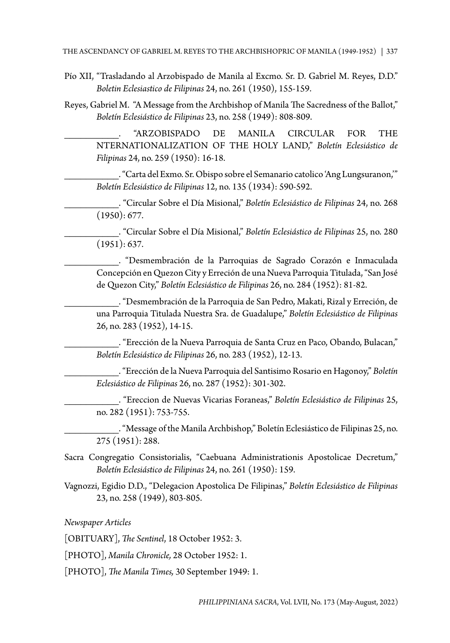- Pío XII, "Trasladando al Arzobispado de Manila al Excmo. Sr. D. Gabriel M. Reyes, D.D." *Boletin Eclesiastico de Filipinas* 24, no. 261 (1950), 155-159.
- Reyes, Gabriel M. "A Message from the Archbishop of Manila The Sacredness of the Ballot," *Boletín Eclesiástico de Filipinas* 23, no. 258 (1949): 808-809.

\_\_\_\_\_\_\_\_\_\_. "ARZOBISPADO DE MANILA CIRCULAR FOR THE NTERNATIONALIZATION OF THE HOLY LAND," *Boletín Eclesiástico de Filipinas* 24, no. 259 (1950): 16-18.

\_\_\_\_\_\_\_\_\_\_. "Carta del Exmo. Sr. Obispo sobre el Semanario catolico 'Ang Lungsuranon,'" *Boletín Eclesiástico de Filipinas* 12, no. 135 (1934): 590-592.

\_\_\_\_\_\_\_\_\_\_. "Circular Sobre el Día Misional," *Boletín Eclesiástico de Filipinas* 24, no. 268 (1950): 677.

\_\_\_\_\_\_\_\_\_\_. "Circular Sobre el Día Misional," *Boletín Eclesiástico de Filipinas* 25, no. 280 (1951): 637.

\_\_\_\_\_\_\_\_\_\_. "Desmembración de la Parroquias de Sagrado Corazón e Inmaculada Concepción en Quezon City y Erreción de una Nueva Parroquia Titulada, "San José de Quezon City," *Boletín Eclesiástico de Filipinas* 26, no. 284 (1952): 81-82.

\_\_\_\_\_\_\_\_\_\_. "Desmembración de la Parroquia de San Pedro, Makati, Rizal y Erreción, de una Parroquia Titulada Nuestra Sra. de Guadalupe," *Boletín Eclesiástico de Filipinas* 26, no. 283 (1952), 14-15.

\_\_\_\_\_\_\_\_\_\_. "Erección de la Nueva Parroquia de Santa Cruz en Paco, Obando, Bulacan," *Boletín Eclesiástico de Filipinas* 26, no. 283 (1952), 12-13.

\_\_\_\_\_\_\_\_\_\_. "Erección de la Nueva Parroquia del Santisimo Rosario en Hagonoy," *Boletín Eclesiástico de Filipinas* 26, no. 287 (1952): 301-302.

\_\_\_\_\_\_\_\_\_\_. "Ereccion de Nuevas Vicarias Foraneas," *Boletín Eclesiástico de Filipinas* 25, no. 282 (1951): 753-755.

\_\_\_\_\_\_\_\_\_\_. "Message of the Manila Archbishop," Boletín Eclesiástico de Filipinas 25, no. 275 (1951): 288.

- Sacra Congregatio Consistorialis, "Caebuana Administrationis Apostolicae Decretum," *Boletín Eclesiástico de Filipinas* 24, no. 261 (1950): 159.
- Vagnozzi, Egidio D.D., "Delegacion Apostolica De Filipinas," *Boletín Eclesiástico de Filipinas* 23, no. 258 (1949), 803-805.

*Newspaper Articles*

[OBITUARY], *The Sentinel*, 18 October 1952: 3.

[PHOTO], *Manila Chronicle,* 28 October 1952: 1.

[PHOTO], *The Manila Times,* 30 September 1949: 1.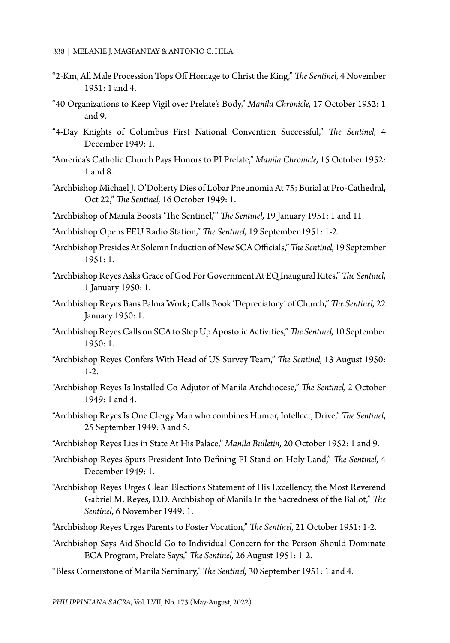- "2-Km, All Male Procession Tops Off Homage to Christ the King," *The Sentinel,* 4 November 1951: 1 and 4.
- "40 Organizations to Keep Vigil over Prelate's Body," *Manila Chronicle,* 17 October 1952: 1 and 9.
- "4-Day Knights of Columbus First National Convention Successful," *The Sentinel,* 4 December 1949: 1.
- "America's Catholic Church Pays Honors to PI Prelate," *Manila Chronicle,* 15 October 1952: 1 and 8.
- "Archbishop Michael J. O'Doherty Dies of Lobar Pneunomia At 75; Burial at Pro-Cathedral, Oct 22," *The Sentinel,* 16 October 1949: 1.
- "Archbishop of Manila Boosts 'The Sentinel,'" *The Sentinel,* 19 January 1951: 1 and 11.
- "Archbishop Opens FEU Radio Station," *The Sentinel,* 19 September 1951: 1-2.
- "Archbishop Presides At Solemn Induction of New SCA Officials," *The Sentinel,* 19 September 1951: 1.
- "Archbishop Reyes Asks Grace of God For Government At EQ Inaugural Rites," *The Sentinel*, 1 January 1950: 1.
- "Archbishop Reyes Bans Palma Work; Calls Book 'Depreciatory' of Church," *The Sentinel,* 22 January 1950: 1.
- "Archbishop Reyes Calls on SCA to Step Up Apostolic Activities," *The Sentinel,* 10 September  $1950 \cdot 1$
- "Archbishop Reyes Confers With Head of US Survey Team," *The Sentinel,* 13 August 1950: 1-2.
- "Archbishop Reyes Is Installed Co-Adjutor of Manila Archdiocese," *The Sentinel,* 2 October 1949: 1 and 4.
- "Archbishop Reyes Is One Clergy Man who combines Humor, Intellect, Drive," *The Sentinel*, 25 September 1949: 3 and 5.
- "Archbishop Reyes Lies in State At His Palace," *Manila Bulletin,* 20 October 1952: 1 and 9.
- "Archbishop Reyes Spurs President Into Defining PI Stand on Holy Land," *The Sentinel,* 4 December 1949: 1.
- "Archbishop Reyes Urges Clean Elections Statement of His Excellency, the Most Reverend Gabriel M. Reyes, D.D. Archbishop of Manila In the Sacredness of the Ballot," *The Sentinel*, 6 November 1949: 1.
- "Archbishop Reyes Urges Parents to Foster Vocation," *The Sentinel,* 21 October 1951: 1-2.
- "Archbishop Says Aid Should Go to Individual Concern for the Person Should Dominate ECA Program, Prelate Says," *The Sentinel,* 26 August 1951: 1-2.
- "Bless Cornerstone of Manila Seminary," *The Sentinel,* 30 September 1951: 1 and 4.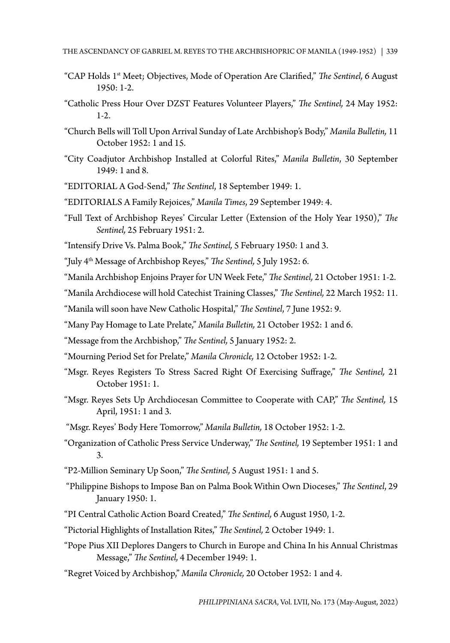- "CAP Holds 1<sup>st</sup> Meet; Objectives, Mode of Operation Are Clarified," *The Sentinel*, 6 August 1950: 1-2.
- "Catholic Press Hour Over DZST Features Volunteer Players," *The Sentinel,* 24 May 1952: 1-2.
- "Church Bells will Toll Upon Arrival Sunday of Late Archbishop's Body," *Manila Bulletin,* 11 October 1952: 1 and 15.
- "City Coadjutor Archbishop Installed at Colorful Rites," *Manila Bulletin*, 30 September 1949: 1 and 8.
- "EDITORIAL A God-Send," *The Sentinel*, 18 September 1949: 1.
- "EDITORIALS A Family Rejoices," *Manila Times*, 29 September 1949: 4.
- "Full Text of Archbishop Reyes' Circular Letter (Extension of the Holy Year 1950)," *The Sentinel,* 25 February 1951: 2.
- "Intensify Drive Vs. Palma Book," *The Sentinel,* 5 February 1950: 1 and 3.
- "July 4th Message of Archbishop Reyes," *The Sentinel,* 5 July 1952: 6.
- "Manila Archbishop Enjoins Prayer for UN Week Fete," *The Sentinel,* 21 October 1951: 1-2.
- "Manila Archdiocese will hold Catechist Training Classes," *The Sentinel,* 22 March 1952: 11.
- "Manila will soon have New Catholic Hospital," *The Sentinel*, 7 June 1952: 9.
- "Many Pay Homage to Late Prelate," *Manila Bulletin,* 21 October 1952: 1 and 6.
- "Message from the Archbishop," *The Sentinel,* 5 January 1952: 2.
- "Mourning Period Set for Prelate," *Manila Chronicle,* 12 October 1952: 1-2.
- "Msgr. Reyes Registers To Stress Sacred Right Of Exercising Suffrage," *The Sentinel,* 21 October 1951: 1.
- "Msgr. Reyes Sets Up Archdiocesan Committee to Cooperate with CAP," *The Sentinel,* 15 April, 1951: 1 and 3.
- "Msgr. Reyes' Body Here Tomorrow," *Manila Bulletin,* 18 October 1952: 1-2.
- "Organization of Catholic Press Service Underway," *The Sentinel,* 19 September 1951: 1 and 3.
- "P2-Million Seminary Up Soon," *The Sentinel,* 5 August 1951: 1 and 5.
- "Philippine Bishops to Impose Ban on Palma Book Within Own Dioceses," *The Sentinel*, 29 January 1950: 1.
- "PI Central Catholic Action Board Created," *The Sentinel,* 6 August 1950, 1-2.
- "Pictorial Highlights of Installation Rites," *The Sentinel,* 2 October 1949: 1.
- "Pope Pius XII Deplores Dangers to Church in Europe and China In his Annual Christmas Message," *The Sentinel,* 4 December 1949: 1.
- "Regret Voiced by Archbishop," *Manila Chronicle,* 20 October 1952: 1 and 4.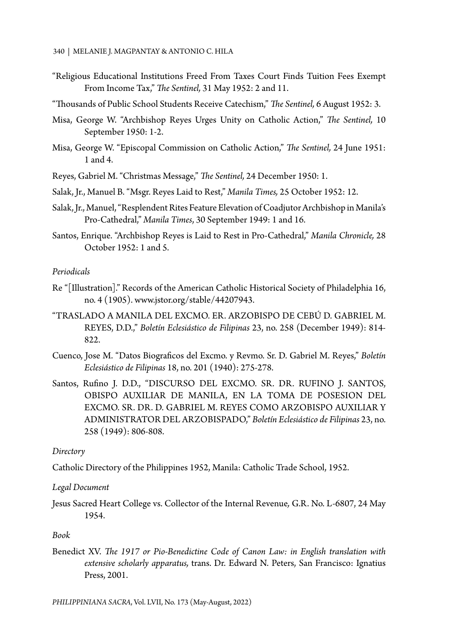- "Religious Educational Institutions Freed From Taxes Court Finds Tuition Fees Exempt From Income Tax," *The Sentinel,* 31 May 1952: 2 and 11.
- "Thousands of Public School Students Receive Catechism," *The Sentinel,* 6 August 1952: 3.
- Misa, George W. "Archbishop Reyes Urges Unity on Catholic Action," *The Sentinel,* 10 September 1950: 1-2.
- Misa, George W. "Episcopal Commission on Catholic Action," *The Sentinel,* 24 June 1951: 1 and 4.
- Reyes, Gabriel M. "Christmas Message," *The Sentinel,* 24 December 1950: 1.
- Salak, Jr., Manuel B. "Msgr. Reyes Laid to Rest," *Manila Times,* 25 October 1952: 12.
- Salak, Jr., Manuel, "Resplendent Rites Feature Elevation of Coadjutor Archbishop in Manila's Pro-Cathedral," *Manila Times*, 30 September 1949: 1 and 16.
- Santos, Enrique. "Archbishop Reyes is Laid to Rest in Pro-Cathedral," *Manila Chronicle,* 28 October 1952: 1 and 5.

### *Periodicals*

- Re "[Illustration]." Records of the American Catholic Historical Society of Philadelphia 16, no. 4 (1905). www.jstor.org/stable/44207943.
- "TRASLADO A MANILA DEL EXCMO. ER. ARZOBISPO DE CEBÚ D. GABRIEL M. REYES, D.D.," *Boletín Eclesiástico de Filipinas* 23, no. 258 (December 1949): 814- 822.
- Cuenco, Jose M. "Datos Biograficos del Excmo. y Revmo. Sr. D. Gabriel M. Reyes," *Boletín Eclesiástico de Filipinas* 18, no. 201 (1940): 275-278.
- Santos, Rufino J. D.D., "DISCURSO DEL EXCMO. SR. DR. RUFINO J. SANTOS, OBISPO AUXILIAR DE MANILA, EN LA TOMA DE POSESION DEL EXCMO. SR. DR. D. GABRIEL M. REYES COMO ARZOBISPO AUXILIAR Y ADMINISTRATOR DEL ARZOBISPADO," *Boletín Eclesiástico de Filipinas* 23, no. 258 (1949): 806-808.

## *Directory*

Catholic Directory of the Philippines 1952, Manila: Catholic Trade School, 1952.

## *Legal Document*

Jesus Sacred Heart College vs. Collector of the Internal Revenue*,* G.R. No. L-6807, 24 May 1954.

### *Book*

Benedict XV. *The 1917 or Pio-Benedictine Code of Canon Law: in English translation with extensive scholarly apparatus,* trans. Dr. Edward N. Peters, San Francisco: Ignatius Press, 2001.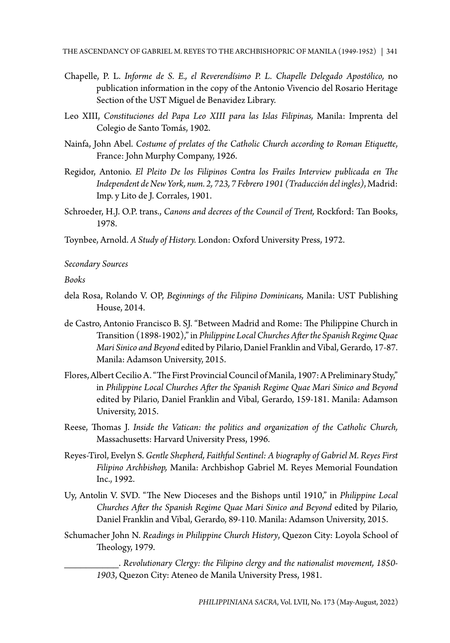- Chapelle, P. L. *Informe de S. E., el Reverendísimo P. L. Chapelle Delegado Apostólico,* no publication information in the copy of the Antonio Vivencio del Rosario Heritage Section of the UST Miguel de Benavidez Library.
- Leo XIII, *Constituciones del Papa Leo XIII para las Islas Filipinas,* Manila: Imprenta del Colegio de Santo Tomás, 1902.
- Nainfa, John Abel. *Costume of prelates of the Catholic Church according to Roman Etiquette*, France: John Murphy Company, 1926.
- Regidor, Antonio. *El Pleito De los Filipinos Contra los Frailes Interview publicada en The Independent de New York, num. 2, 723, 7 Febrero 1901 (Traducción del ingles)*, Madrid: Imp. y Lito de J. Corrales, 1901.
- Schroeder, H.J. O.P. trans., *Canons and decrees of the Council of Trent,* Rockford: Tan Books, 1978.
- Toynbee, Arnold. *A Study of History.* London: Oxford University Press, 1972.

*Secondary Sources*

*Books*

- dela Rosa, Rolando V. OP, *Beginnings of the Filipino Dominicans,* Manila: UST Publishing House, 2014.
- de Castro, Antonio Francisco B. SJ. "Between Madrid and Rome: The Philippine Church in Transition (1898-1902)," in *Philippine Local Churches After the Spanish Regime Quae Mari Sinico and Beyond* edited by Pilario, Daniel Franklin and Vibal, Gerardo, 17-87. Manila: Adamson University, 2015.
- Flores, Albert Cecilio A. "The First Provincial Council of Manila, 1907: A Preliminary Study," in *Philippine Local Churches After the Spanish Regime Quae Mari Sinico and Beyond* edited by Pilario, Daniel Franklin and Vibal, Gerardo, 159-181. Manila: Adamson University, 2015.
- Reese, Thomas J. *Inside the Vatican: the politics and organization of the Catholic Church,* Massachusetts: Harvard University Press, 1996.
- Reyes-Tirol, Evelyn S. *Gentle Shepherd, Faithful Sentinel: A biography of Gabriel M. Reyes First Filipino Archbishop,* Manila: Archbishop Gabriel M. Reyes Memorial Foundation Inc., 1992.
- Uy, Antolin V. SVD. "The New Dioceses and the Bishops until 1910," in *Philippine Local Churches After the Spanish Regime Quae Mari Sinico and Beyond* edited by Pilario, Daniel Franklin and Vibal, Gerardo, 89-110. Manila: Adamson University, 2015.
- Schumacher John N. *Readings in Philippine Church History*, Quezon City: Loyola School of Theology, 1979.

\_\_\_\_\_\_\_\_\_\_. *Revolutionary Clergy: the Filipino clergy and the nationalist movement, 1850- 1903*, Quezon City: Ateneo de Manila University Press, 1981.